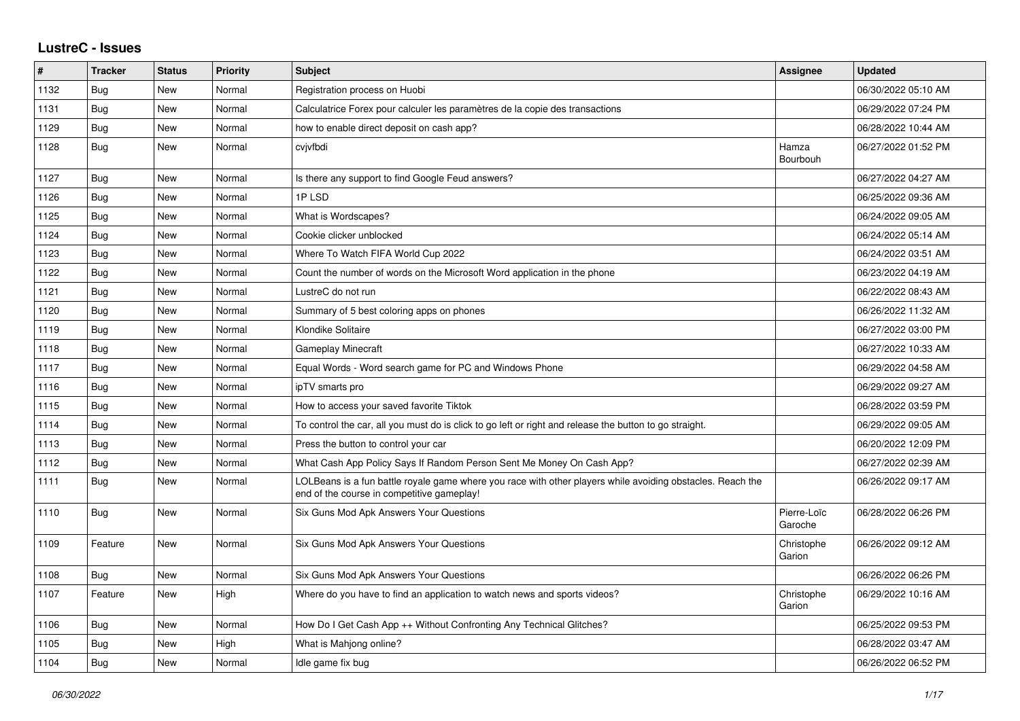## **LustreC - Issues**

| $\#$ | <b>Tracker</b> | <b>Status</b> | <b>Priority</b> | <b>Subject</b>                                                                                                                                           | <b>Assignee</b>        | <b>Updated</b>      |
|------|----------------|---------------|-----------------|----------------------------------------------------------------------------------------------------------------------------------------------------------|------------------------|---------------------|
| 1132 | <b>Bug</b>     | <b>New</b>    | Normal          | Registration process on Huobi                                                                                                                            |                        | 06/30/2022 05:10 AM |
| 1131 | Bug            | New           | Normal          | Calculatrice Forex pour calculer les paramètres de la copie des transactions                                                                             |                        | 06/29/2022 07:24 PM |
| 1129 | Bug            | New           | Normal          | how to enable direct deposit on cash app?                                                                                                                |                        | 06/28/2022 10:44 AM |
| 1128 | Bug            | New           | Normal          | cvjvfbdi                                                                                                                                                 | Hamza<br>Bourbouh      | 06/27/2022 01:52 PM |
| 1127 | <b>Bug</b>     | New           | Normal          | Is there any support to find Google Feud answers?                                                                                                        |                        | 06/27/2022 04:27 AM |
| 1126 | Bug            | New           | Normal          | 1PLSD                                                                                                                                                    |                        | 06/25/2022 09:36 AM |
| 1125 | Bug            | <b>New</b>    | Normal          | What is Wordscapes?                                                                                                                                      |                        | 06/24/2022 09:05 AM |
| 1124 | Bug            | New           | Normal          | Cookie clicker unblocked                                                                                                                                 |                        | 06/24/2022 05:14 AM |
| 1123 | <b>Bug</b>     | New           | Normal          | Where To Watch FIFA World Cup 2022                                                                                                                       |                        | 06/24/2022 03:51 AM |
| 1122 | Bug            | New           | Normal          | Count the number of words on the Microsoft Word application in the phone                                                                                 |                        | 06/23/2022 04:19 AM |
| 1121 | <b>Bug</b>     | New           | Normal          | LustreC do not run                                                                                                                                       |                        | 06/22/2022 08:43 AM |
| 1120 | Bug            | New           | Normal          | Summary of 5 best coloring apps on phones                                                                                                                |                        | 06/26/2022 11:32 AM |
| 1119 | Bug            | <b>New</b>    | Normal          | Klondike Solitaire                                                                                                                                       |                        | 06/27/2022 03:00 PM |
| 1118 | <b>Bug</b>     | New           | Normal          | <b>Gameplay Minecraft</b>                                                                                                                                |                        | 06/27/2022 10:33 AM |
| 1117 | Bug            | New           | Normal          | Equal Words - Word search game for PC and Windows Phone                                                                                                  |                        | 06/29/2022 04:58 AM |
| 1116 | Bug            | New           | Normal          | ipTV smarts pro                                                                                                                                          |                        | 06/29/2022 09:27 AM |
| 1115 | Bug            | New           | Normal          | How to access your saved favorite Tiktok                                                                                                                 |                        | 06/28/2022 03:59 PM |
| 1114 | Bug            | New           | Normal          | To control the car, all you must do is click to go left or right and release the button to go straight.                                                  |                        | 06/29/2022 09:05 AM |
| 1113 | Bug            | New           | Normal          | Press the button to control your car                                                                                                                     |                        | 06/20/2022 12:09 PM |
| 1112 | <b>Bug</b>     | New           | Normal          | What Cash App Policy Says If Random Person Sent Me Money On Cash App?                                                                                    |                        | 06/27/2022 02:39 AM |
| 1111 | <b>Bug</b>     | New           | Normal          | LOLBeans is a fun battle royale game where you race with other players while avoiding obstacles. Reach the<br>end of the course in competitive gameplay! |                        | 06/26/2022 09:17 AM |
| 1110 | Bug            | New           | Normal          | Six Guns Mod Apk Answers Your Questions                                                                                                                  | Pierre-Loïc<br>Garoche | 06/28/2022 06:26 PM |
| 1109 | Feature        | New           | Normal          | Six Guns Mod Apk Answers Your Questions                                                                                                                  | Christophe<br>Garion   | 06/26/2022 09:12 AM |
| 1108 | Bug            | <b>New</b>    | Normal          | Six Guns Mod Apk Answers Your Questions                                                                                                                  |                        | 06/26/2022 06:26 PM |
| 1107 | Feature        | New           | High            | Where do you have to find an application to watch news and sports videos?                                                                                | Christophe<br>Garion   | 06/29/2022 10:16 AM |
| 1106 | Bug            | New           | Normal          | How Do I Get Cash App ++ Without Confronting Any Technical Glitches?                                                                                     |                        | 06/25/2022 09:53 PM |
| 1105 | Bug            | New           | High            | What is Mahjong online?                                                                                                                                  |                        | 06/28/2022 03:47 AM |
| 1104 | Bug            | <b>New</b>    | Normal          | Idle game fix bug                                                                                                                                        |                        | 06/26/2022 06:52 PM |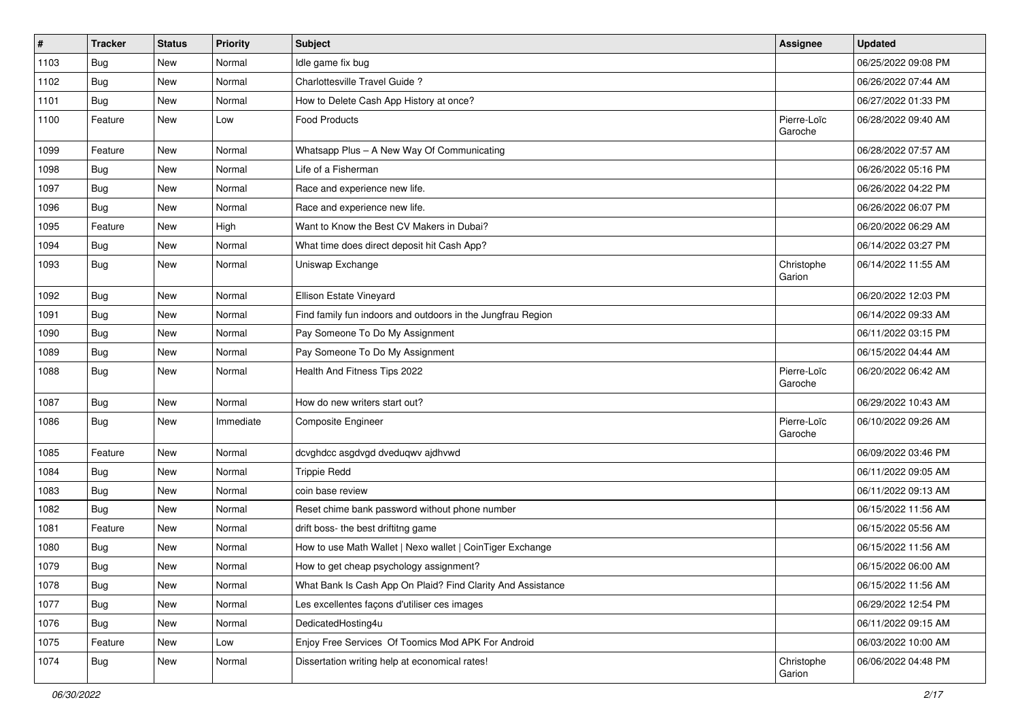| #    | <b>Tracker</b> | <b>Status</b> | <b>Priority</b> | <b>Subject</b>                                              | <b>Assignee</b>        | <b>Updated</b>      |
|------|----------------|---------------|-----------------|-------------------------------------------------------------|------------------------|---------------------|
| 1103 | Bug            | New           | Normal          | Idle game fix bug                                           |                        | 06/25/2022 09:08 PM |
| 1102 | Bug            | New           | Normal          | Charlottesville Travel Guide?                               |                        | 06/26/2022 07:44 AM |
| 1101 | Bug            | New           | Normal          | How to Delete Cash App History at once?                     |                        | 06/27/2022 01:33 PM |
| 1100 | Feature        | New           | Low             | <b>Food Products</b>                                        | Pierre-Loïc<br>Garoche | 06/28/2022 09:40 AM |
| 1099 | Feature        | New           | Normal          | Whatsapp Plus - A New Way Of Communicating                  |                        | 06/28/2022 07:57 AM |
| 1098 | Bug            | New           | Normal          | Life of a Fisherman                                         |                        | 06/26/2022 05:16 PM |
| 1097 | Bug            | New           | Normal          | Race and experience new life.                               |                        | 06/26/2022 04:22 PM |
| 1096 | Bug            | New           | Normal          | Race and experience new life.                               |                        | 06/26/2022 06:07 PM |
| 1095 | Feature        | <b>New</b>    | High            | Want to Know the Best CV Makers in Dubai?                   |                        | 06/20/2022 06:29 AM |
| 1094 | Bug            | New           | Normal          | What time does direct deposit hit Cash App?                 |                        | 06/14/2022 03:27 PM |
| 1093 | Bug            | New           | Normal          | Uniswap Exchange                                            | Christophe<br>Garion   | 06/14/2022 11:55 AM |
| 1092 | Bug            | New           | Normal          | Ellison Estate Vineyard                                     |                        | 06/20/2022 12:03 PM |
| 1091 | <b>Bug</b>     | New           | Normal          | Find family fun indoors and outdoors in the Jungfrau Region |                        | 06/14/2022 09:33 AM |
| 1090 | Bug            | New           | Normal          | Pay Someone To Do My Assignment                             |                        | 06/11/2022 03:15 PM |
| 1089 | Bug            | New           | Normal          | Pay Someone To Do My Assignment                             |                        | 06/15/2022 04:44 AM |
| 1088 | <b>Bug</b>     | New           | Normal          | Health And Fitness Tips 2022                                | Pierre-Loïc<br>Garoche | 06/20/2022 06:42 AM |
| 1087 | <b>Bug</b>     | <b>New</b>    | Normal          | How do new writers start out?                               |                        | 06/29/2022 10:43 AM |
| 1086 | <b>Bug</b>     | <b>New</b>    | Immediate       | Composite Engineer                                          | Pierre-Loïc<br>Garoche | 06/10/2022 09:26 AM |
| 1085 | Feature        | <b>New</b>    | Normal          | dcvghdcc asgdvgd dveduqwv ajdhvwd                           |                        | 06/09/2022 03:46 PM |
| 1084 | Bug            | New           | Normal          | <b>Trippie Redd</b>                                         |                        | 06/11/2022 09:05 AM |
| 1083 | Bug            | New           | Normal          | coin base review                                            |                        | 06/11/2022 09:13 AM |
| 1082 | Bug            | New           | Normal          | Reset chime bank password without phone number              |                        | 06/15/2022 11:56 AM |
| 1081 | Feature        | New           | Normal          | drift boss- the best driftitng game                         |                        | 06/15/2022 05:56 AM |
| 1080 | Bug            | New           | Normal          | How to use Math Wallet   Nexo wallet   CoinTiger Exchange   |                        | 06/15/2022 11:56 AM |
| 1079 | Bug            | New           | Normal          | How to get cheap psychology assignment?                     |                        | 06/15/2022 06:00 AM |
| 1078 | <b>Bug</b>     | New           | Normal          | What Bank Is Cash App On Plaid? Find Clarity And Assistance |                        | 06/15/2022 11:56 AM |
| 1077 | <b>Bug</b>     | New           | Normal          | Les excellentes façons d'utiliser ces images                |                        | 06/29/2022 12:54 PM |
| 1076 | Bug            | New           | Normal          | DedicatedHosting4u                                          |                        | 06/11/2022 09:15 AM |
| 1075 | Feature        | New           | Low             | Enjoy Free Services Of Toomics Mod APK For Android          |                        | 06/03/2022 10:00 AM |
| 1074 | <b>Bug</b>     | New           | Normal          | Dissertation writing help at economical rates!              | Christophe<br>Garion   | 06/06/2022 04:48 PM |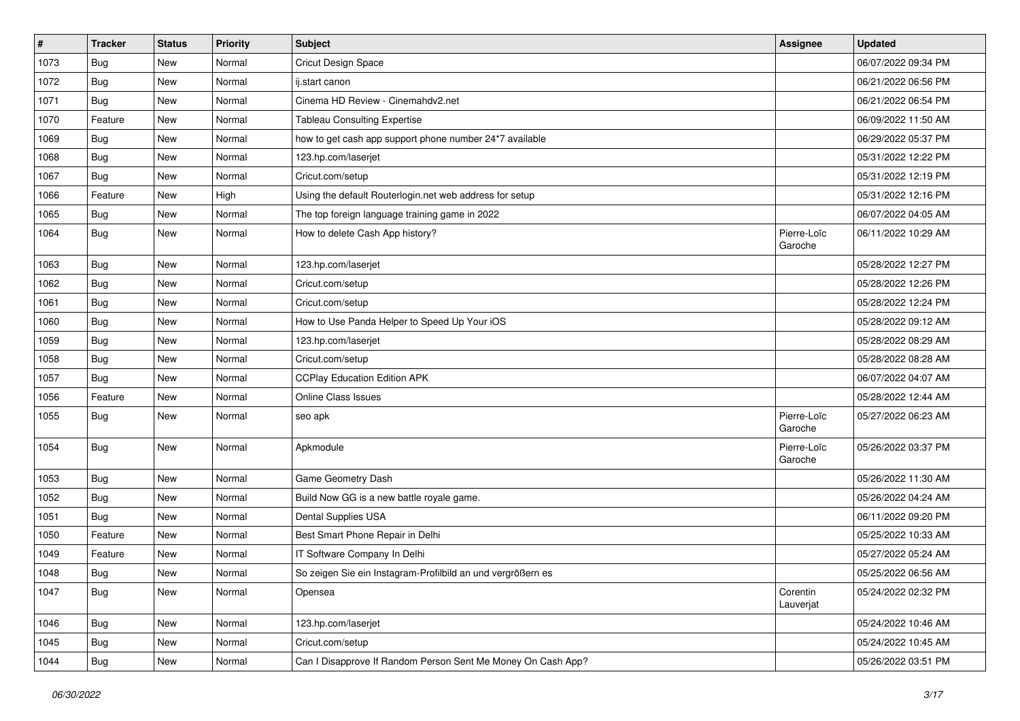| $\vert$ # | Tracker    | <b>Status</b> | <b>Priority</b> | <b>Subject</b>                                               | <b>Assignee</b>        | <b>Updated</b>      |
|-----------|------------|---------------|-----------------|--------------------------------------------------------------|------------------------|---------------------|
| 1073      | <b>Bug</b> | New           | Normal          | Cricut Design Space                                          |                        | 06/07/2022 09:34 PM |
| 1072      | Bug        | <b>New</b>    | Normal          | ij.start canon                                               |                        | 06/21/2022 06:56 PM |
| 1071      | Bug        | New           | Normal          | Cinema HD Review - Cinemahdv2.net                            |                        | 06/21/2022 06:54 PM |
| 1070      | Feature    | New           | Normal          | <b>Tableau Consulting Expertise</b>                          |                        | 06/09/2022 11:50 AM |
| 1069      | Bug        | <b>New</b>    | Normal          | how to get cash app support phone number 24*7 available      |                        | 06/29/2022 05:37 PM |
| 1068      | Bug        | <b>New</b>    | Normal          | 123.hp.com/laserjet                                          |                        | 05/31/2022 12:22 PM |
| 1067      | Bug        | <b>New</b>    | Normal          | Cricut.com/setup                                             |                        | 05/31/2022 12:19 PM |
| 1066      | Feature    | <b>New</b>    | High            | Using the default Routerlogin.net web address for setup      |                        | 05/31/2022 12:16 PM |
| 1065      | Bug        | New           | Normal          | The top foreign language training game in 2022               |                        | 06/07/2022 04:05 AM |
| 1064      | Bug        | New           | Normal          | How to delete Cash App history?                              | Pierre-Loïc<br>Garoche | 06/11/2022 10:29 AM |
| 1063      | Bug        | <b>New</b>    | Normal          | 123.hp.com/laserjet                                          |                        | 05/28/2022 12:27 PM |
| 1062      | Bug        | New           | Normal          | Cricut.com/setup                                             |                        | 05/28/2022 12:26 PM |
| 1061      | <b>Bug</b> | New           | Normal          | Cricut.com/setup                                             |                        | 05/28/2022 12:24 PM |
| 1060      | Bug        | <b>New</b>    | Normal          | How to Use Panda Helper to Speed Up Your iOS                 |                        | 05/28/2022 09:12 AM |
| 1059      | Bug        | New           | Normal          | 123.hp.com/laserjet                                          |                        | 05/28/2022 08:29 AM |
| 1058      | Bug        | <b>New</b>    | Normal          | Cricut.com/setup                                             |                        | 05/28/2022 08:28 AM |
| 1057      | Bug        | <b>New</b>    | Normal          | <b>CCPlay Education Edition APK</b>                          |                        | 06/07/2022 04:07 AM |
| 1056      | Feature    | New           | Normal          | <b>Online Class Issues</b>                                   |                        | 05/28/2022 12:44 AM |
| 1055      | Bug        | New           | Normal          | seo apk                                                      | Pierre-Loïc<br>Garoche | 05/27/2022 06:23 AM |
| 1054      | Bug        | <b>New</b>    | Normal          | Apkmodule                                                    | Pierre-Loïc<br>Garoche | 05/26/2022 03:37 PM |
| 1053      | Bug        | New           | Normal          | Game Geometry Dash                                           |                        | 05/26/2022 11:30 AM |
| 1052      | Bug        | <b>New</b>    | Normal          | Build Now GG is a new battle royale game.                    |                        | 05/26/2022 04:24 AM |
| 1051      | Bug        | <b>New</b>    | Normal          | Dental Supplies USA                                          |                        | 06/11/2022 09:20 PM |
| 1050      | Feature    | New           | Normal          | Best Smart Phone Repair in Delhi                             |                        | 05/25/2022 10:33 AM |
| 1049      | Feature    | New           | Normal          | IT Software Company In Delhi                                 |                        | 05/27/2022 05:24 AM |
| 1048      | Bug        | New           | Normal          | So zeigen Sie ein Instagram-Profilbild an und vergrößern es  |                        | 05/25/2022 06:56 AM |
| 1047      | Bug        | New           | Normal          | Opensea                                                      | Corentin<br>Lauverjat  | 05/24/2022 02:32 PM |
| 1046      | Bug        | New           | Normal          | 123.hp.com/laserjet                                          |                        | 05/24/2022 10:46 AM |
| 1045      | Bug        | New           | Normal          | Cricut.com/setup                                             |                        | 05/24/2022 10:45 AM |
| 1044      | <b>Bug</b> | New           | Normal          | Can I Disapprove If Random Person Sent Me Money On Cash App? |                        | 05/26/2022 03:51 PM |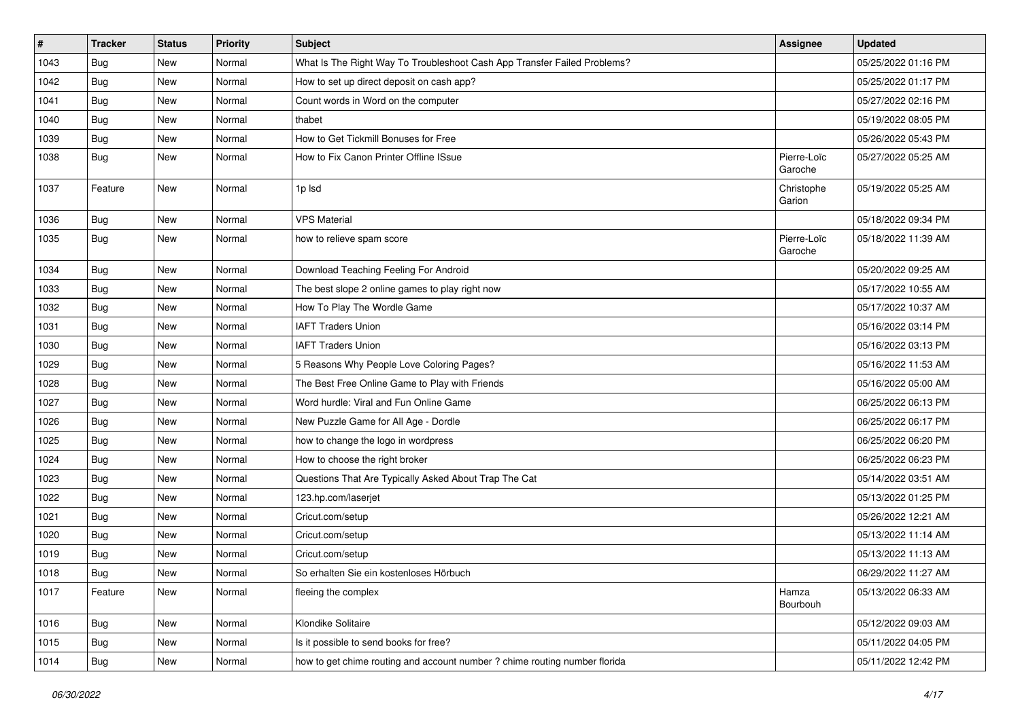| $\vert$ # | Tracker    | <b>Status</b> | <b>Priority</b> | <b>Subject</b>                                                             | <b>Assignee</b>        | <b>Updated</b>      |
|-----------|------------|---------------|-----------------|----------------------------------------------------------------------------|------------------------|---------------------|
| 1043      | <b>Bug</b> | New           | Normal          | What Is The Right Way To Troubleshoot Cash App Transfer Failed Problems?   |                        | 05/25/2022 01:16 PM |
| 1042      | Bug        | <b>New</b>    | Normal          | How to set up direct deposit on cash app?                                  |                        | 05/25/2022 01:17 PM |
| 1041      | Bug        | New           | Normal          | Count words in Word on the computer                                        |                        | 05/27/2022 02:16 PM |
| 1040      | Bug        | New           | Normal          | thabet                                                                     |                        | 05/19/2022 08:05 PM |
| 1039      | Bug        | <b>New</b>    | Normal          | How to Get Tickmill Bonuses for Free                                       |                        | 05/26/2022 05:43 PM |
| 1038      | Bug        | New           | Normal          | How to Fix Canon Printer Offline ISsue                                     | Pierre-Loïc<br>Garoche | 05/27/2022 05:25 AM |
| 1037      | Feature    | New           | Normal          | 1p lsd                                                                     | Christophe<br>Garion   | 05/19/2022 05:25 AM |
| 1036      | Bug        | New           | Normal          | <b>VPS Material</b>                                                        |                        | 05/18/2022 09:34 PM |
| 1035      | Bug        | New           | Normal          | how to relieve spam score                                                  | Pierre-Loïc<br>Garoche | 05/18/2022 11:39 AM |
| 1034      | Bug        | <b>New</b>    | Normal          | Download Teaching Feeling For Android                                      |                        | 05/20/2022 09:25 AM |
| 1033      | Bug        | New           | Normal          | The best slope 2 online games to play right now                            |                        | 05/17/2022 10:55 AM |
| 1032      | Bug        | New           | Normal          | How To Play The Wordle Game                                                |                        | 05/17/2022 10:37 AM |
| 1031      | Bug        | <b>New</b>    | Normal          | <b>IAFT Traders Union</b>                                                  |                        | 05/16/2022 03:14 PM |
| 1030      | Bug        | <b>New</b>    | Normal          | <b>IAFT Traders Union</b>                                                  |                        | 05/16/2022 03:13 PM |
| 1029      | Bug        | <b>New</b>    | Normal          | 5 Reasons Why People Love Coloring Pages?                                  |                        | 05/16/2022 11:53 AM |
| 1028      | Bug        | New           | Normal          | The Best Free Online Game to Play with Friends                             |                        | 05/16/2022 05:00 AM |
| 1027      | Bug        | <b>New</b>    | Normal          | Word hurdle: Viral and Fun Online Game                                     |                        | 06/25/2022 06:13 PM |
| 1026      | Bug        | <b>New</b>    | Normal          | New Puzzle Game for All Age - Dordle                                       |                        | 06/25/2022 06:17 PM |
| 1025      | <b>Bug</b> | New           | Normal          | how to change the logo in wordpress                                        |                        | 06/25/2022 06:20 PM |
| 1024      | Bug        | <b>New</b>    | Normal          | How to choose the right broker                                             |                        | 06/25/2022 06:23 PM |
| 1023      | Bug        | New           | Normal          | Questions That Are Typically Asked About Trap The Cat                      |                        | 05/14/2022 03:51 AM |
| 1022      | Bug        | <b>New</b>    | Normal          | 123.hp.com/laserjet                                                        |                        | 05/13/2022 01:25 PM |
| 1021      | Bug        | <b>New</b>    | Normal          | Cricut.com/setup                                                           |                        | 05/26/2022 12:21 AM |
| 1020      | Bug        | New           | Normal          | Cricut.com/setup                                                           |                        | 05/13/2022 11:14 AM |
| 1019      | Bug        | New           | Normal          | Cricut.com/setup                                                           |                        | 05/13/2022 11:13 AM |
| 1018      | Bug        | New           | Normal          | So erhalten Sie ein kostenloses Hörbuch                                    |                        | 06/29/2022 11:27 AM |
| 1017      | Feature    | New           | Normal          | fleeing the complex                                                        | Hamza<br>Bourbouh      | 05/13/2022 06:33 AM |
| 1016      | Bug        | New           | Normal          | Klondike Solitaire                                                         |                        | 05/12/2022 09:03 AM |
| 1015      | Bug        | New           | Normal          | Is it possible to send books for free?                                     |                        | 05/11/2022 04:05 PM |
| 1014      | Bug        | New           | Normal          | how to get chime routing and account number ? chime routing number florida |                        | 05/11/2022 12:42 PM |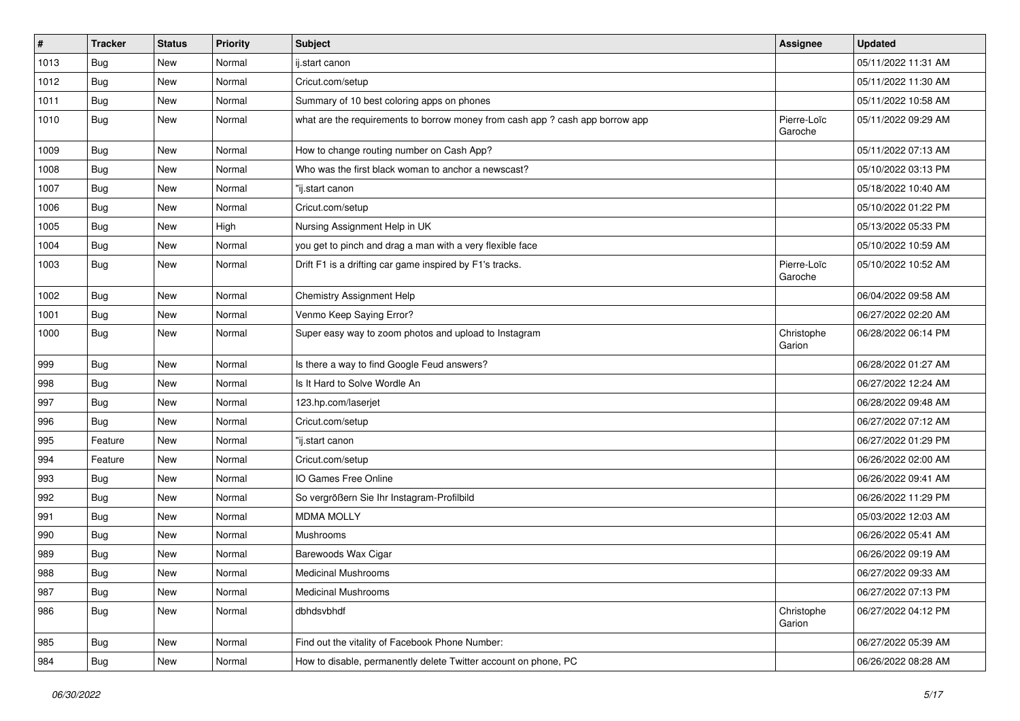| #    | <b>Tracker</b> | <b>Status</b> | <b>Priority</b> | Subject                                                                       | <b>Assignee</b>        | <b>Updated</b>      |
|------|----------------|---------------|-----------------|-------------------------------------------------------------------------------|------------------------|---------------------|
| 1013 | <b>Bug</b>     | <b>New</b>    | Normal          | ij.start canon                                                                |                        | 05/11/2022 11:31 AM |
| 1012 | Bug            | <b>New</b>    | Normal          | Cricut.com/setup                                                              |                        | 05/11/2022 11:30 AM |
| 1011 | Bug            | New           | Normal          | Summary of 10 best coloring apps on phones                                    |                        | 05/11/2022 10:58 AM |
| 1010 | Bug            | New           | Normal          | what are the requirements to borrow money from cash app ? cash app borrow app | Pierre-Loïc<br>Garoche | 05/11/2022 09:29 AM |
| 1009 | <b>Bug</b>     | <b>New</b>    | Normal          | How to change routing number on Cash App?                                     |                        | 05/11/2022 07:13 AM |
| 1008 | Bug            | <b>New</b>    | Normal          | Who was the first black woman to anchor a newscast?                           |                        | 05/10/2022 03:13 PM |
| 1007 | Bug            | New           | Normal          | "ij.start canon                                                               |                        | 05/18/2022 10:40 AM |
| 1006 | <b>Bug</b>     | New           | Normal          | Cricut.com/setup                                                              |                        | 05/10/2022 01:22 PM |
| 1005 | Bug            | <b>New</b>    | High            | Nursing Assignment Help in UK                                                 |                        | 05/13/2022 05:33 PM |
| 1004 | Bug            | New           | Normal          | you get to pinch and drag a man with a very flexible face                     |                        | 05/10/2022 10:59 AM |
| 1003 | Bug            | New           | Normal          | Drift F1 is a drifting car game inspired by F1's tracks.                      | Pierre-Loïc<br>Garoche | 05/10/2022 10:52 AM |
| 1002 | Bug            | <b>New</b>    | Normal          | Chemistry Assignment Help                                                     |                        | 06/04/2022 09:58 AM |
| 1001 | Bug            | <b>New</b>    | Normal          | Venmo Keep Saying Error?                                                      |                        | 06/27/2022 02:20 AM |
| 1000 | Bug            | New           | Normal          | Super easy way to zoom photos and upload to Instagram                         | Christophe<br>Garion   | 06/28/2022 06:14 PM |
| 999  | Bug            | <b>New</b>    | Normal          | Is there a way to find Google Feud answers?                                   |                        | 06/28/2022 01:27 AM |
| 998  | <b>Bug</b>     | New           | Normal          | Is It Hard to Solve Wordle An                                                 |                        | 06/27/2022 12:24 AM |
| 997  | Bug            | New           | Normal          | 123.hp.com/laserjet                                                           |                        | 06/28/2022 09:48 AM |
| 996  | Bug            | New           | Normal          | Cricut.com/setup                                                              |                        | 06/27/2022 07:12 AM |
| 995  | Feature        | New           | Normal          | "ij.start canon                                                               |                        | 06/27/2022 01:29 PM |
| 994  | Feature        | New           | Normal          | Cricut.com/setup                                                              |                        | 06/26/2022 02:00 AM |
| 993  | Bug            | New           | Normal          | IO Games Free Online                                                          |                        | 06/26/2022 09:41 AM |
| 992  | Bug            | New           | Normal          | So vergrößern Sie Ihr Instagram-Profilbild                                    |                        | 06/26/2022 11:29 PM |
| 991  | <b>Bug</b>     | <b>New</b>    | Normal          | <b>MDMA MOLLY</b>                                                             |                        | 05/03/2022 12:03 AM |
| 990  | Bug            | New           | Normal          | Mushrooms                                                                     |                        | 06/26/2022 05:41 AM |
| 989  | <b>Bug</b>     | New           | Normal          | Barewoods Wax Cigar                                                           |                        | 06/26/2022 09:19 AM |
| 988  | Bug            | New           | Normal          | <b>Medicinal Mushrooms</b>                                                    |                        | 06/27/2022 09:33 AM |
| 987  | Bug            | New           | Normal          | <b>Medicinal Mushrooms</b>                                                    |                        | 06/27/2022 07:13 PM |
| 986  | Bug            | New           | Normal          | dbhdsvbhdf                                                                    | Christophe<br>Garion   | 06/27/2022 04:12 PM |
| 985  | Bug            | New           | Normal          | Find out the vitality of Facebook Phone Number:                               |                        | 06/27/2022 05:39 AM |
| 984  | <b>Bug</b>     | New           | Normal          | How to disable, permanently delete Twitter account on phone, PC               |                        | 06/26/2022 08:28 AM |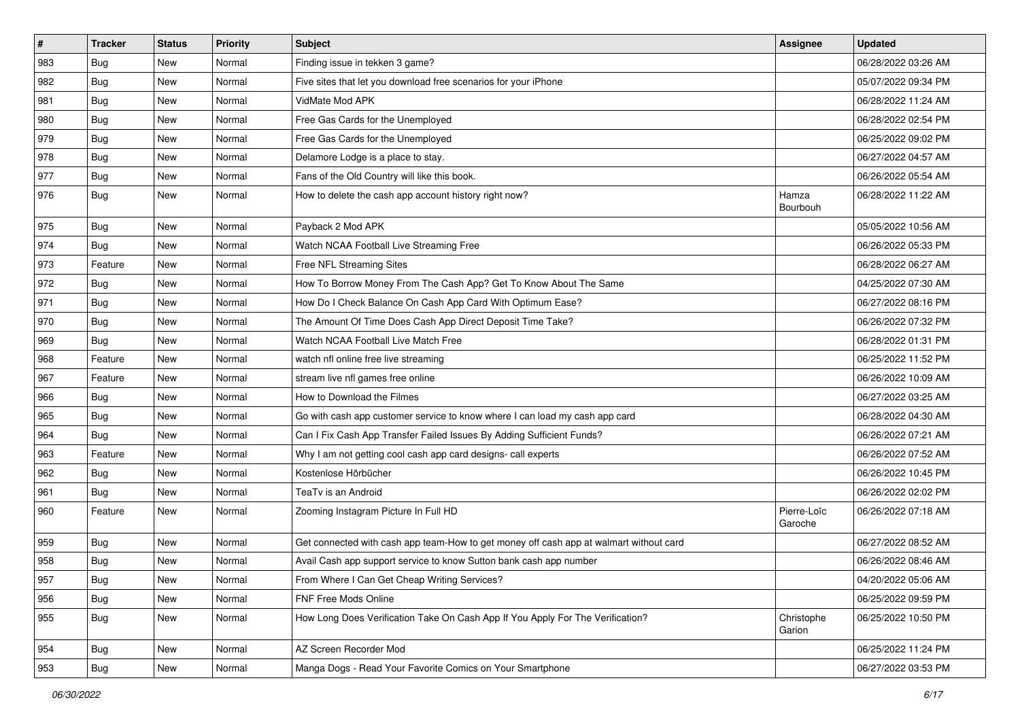| $\pmb{\#}$ | <b>Tracker</b> | <b>Status</b> | <b>Priority</b> | <b>Subject</b>                                                                         | Assignee               | <b>Updated</b>      |
|------------|----------------|---------------|-----------------|----------------------------------------------------------------------------------------|------------------------|---------------------|
| 983        | <b>Bug</b>     | New           | Normal          | Finding issue in tekken 3 game?                                                        |                        | 06/28/2022 03:26 AM |
| 982        | Bug            | <b>New</b>    | Normal          | Five sites that let you download free scenarios for your iPhone                        |                        | 05/07/2022 09:34 PM |
| 981        | Bug            | New           | Normal          | VidMate Mod APK                                                                        |                        | 06/28/2022 11:24 AM |
| 980        | <b>Bug</b>     | New           | Normal          | Free Gas Cards for the Unemployed                                                      |                        | 06/28/2022 02:54 PM |
| 979        | Bug            | New           | Normal          | Free Gas Cards for the Unemployed                                                      |                        | 06/25/2022 09:02 PM |
| 978        | Bug            | New           | Normal          | Delamore Lodge is a place to stay.                                                     |                        | 06/27/2022 04:57 AM |
| 977        | Bug            | New           | Normal          | Fans of the Old Country will like this book.                                           |                        | 06/26/2022 05:54 AM |
| 976        | Bug            | New           | Normal          | How to delete the cash app account history right now?                                  | Hamza<br>Bourbouh      | 06/28/2022 11:22 AM |
| 975        | Bug            | <b>New</b>    | Normal          | Payback 2 Mod APK                                                                      |                        | 05/05/2022 10:56 AM |
| 974        | Bug            | New           | Normal          | Watch NCAA Football Live Streaming Free                                                |                        | 06/26/2022 05:33 PM |
| 973        | Feature        | New           | Normal          | Free NFL Streaming Sites                                                               |                        | 06/28/2022 06:27 AM |
| 972        | Bug            | New           | Normal          | How To Borrow Money From The Cash App? Get To Know About The Same                      |                        | 04/25/2022 07:30 AM |
| 971        | Bug            | New           | Normal          | How Do I Check Balance On Cash App Card With Optimum Ease?                             |                        | 06/27/2022 08:16 PM |
| 970        | Bug            | New           | Normal          | The Amount Of Time Does Cash App Direct Deposit Time Take?                             |                        | 06/26/2022 07:32 PM |
| 969        | Bug            | New           | Normal          | Watch NCAA Football Live Match Free                                                    |                        | 06/28/2022 01:31 PM |
| 968        | Feature        | <b>New</b>    | Normal          | watch nfl online free live streaming                                                   |                        | 06/25/2022 11:52 PM |
| 967        | Feature        | New           | Normal          | stream live nfl games free online                                                      |                        | 06/26/2022 10:09 AM |
| 966        | <b>Bug</b>     | New           | Normal          | How to Download the Filmes                                                             |                        | 06/27/2022 03:25 AM |
| 965        | Bug            | New           | Normal          | Go with cash app customer service to know where I can load my cash app card            |                        | 06/28/2022 04:30 AM |
| 964        | Bug            | New           | Normal          | Can I Fix Cash App Transfer Failed Issues By Adding Sufficient Funds?                  |                        | 06/26/2022 07:21 AM |
| 963        | Feature        | New           | Normal          | Why I am not getting cool cash app card designs- call experts                          |                        | 06/26/2022 07:52 AM |
| 962        | Bug            | New           | Normal          | Kostenlose Hörbücher                                                                   |                        | 06/26/2022 10:45 PM |
| 961        | Bug            | New           | Normal          | TeaTv is an Android                                                                    |                        | 06/26/2022 02:02 PM |
| 960        | Feature        | New           | Normal          | Zooming Instagram Picture In Full HD                                                   | Pierre-Loïc<br>Garoche | 06/26/2022 07:18 AM |
| 959        | Bug            | New           | Normal          | Get connected with cash app team-How to get money off cash app at walmart without card |                        | 06/27/2022 08:52 AM |
| 958        | <b>Bug</b>     | New           | Normal          | Avail Cash app support service to know Sutton bank cash app number                     |                        | 06/26/2022 08:46 AM |
| 957        | Bug            | New           | Normal          | From Where I Can Get Cheap Writing Services?                                           |                        | 04/20/2022 05:06 AM |
| 956        | Bug            | New           | Normal          | <b>FNF Free Mods Online</b>                                                            |                        | 06/25/2022 09:59 PM |
| 955        | Bug            | New           | Normal          | How Long Does Verification Take On Cash App If You Apply For The Verification?         | Christophe<br>Garion   | 06/25/2022 10:50 PM |
| 954        | Bug            | New           | Normal          | AZ Screen Recorder Mod                                                                 |                        | 06/25/2022 11:24 PM |
| 953        | Bug            | New           | Normal          | Manga Dogs - Read Your Favorite Comics on Your Smartphone                              |                        | 06/27/2022 03:53 PM |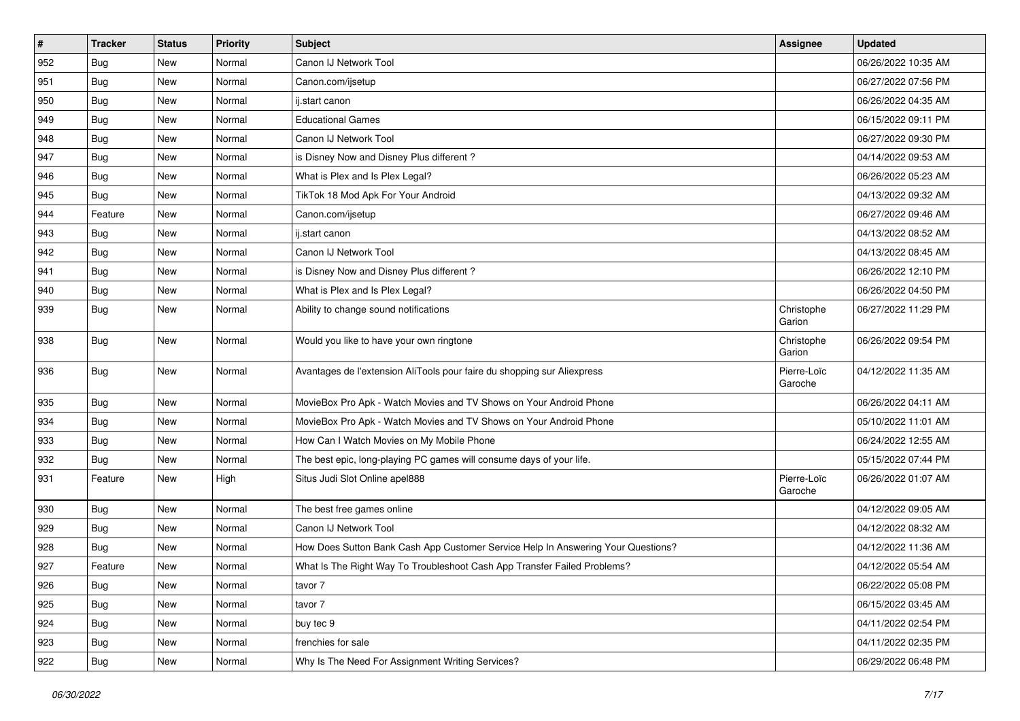| $\vert$ # | <b>Tracker</b> | <b>Status</b> | <b>Priority</b> | <b>Subject</b>                                                                   | <b>Assignee</b>        | <b>Updated</b>      |
|-----------|----------------|---------------|-----------------|----------------------------------------------------------------------------------|------------------------|---------------------|
| 952       | <b>Bug</b>     | New           | Normal          | Canon IJ Network Tool                                                            |                        | 06/26/2022 10:35 AM |
| 951       | <b>Bug</b>     | New           | Normal          | Canon.com/ijsetup                                                                |                        | 06/27/2022 07:56 PM |
| 950       | Bug            | New           | Normal          | ij.start canon                                                                   |                        | 06/26/2022 04:35 AM |
| 949       | <b>Bug</b>     | New           | Normal          | <b>Educational Games</b>                                                         |                        | 06/15/2022 09:11 PM |
| 948       | Bug            | New           | Normal          | Canon IJ Network Tool                                                            |                        | 06/27/2022 09:30 PM |
| 947       | <b>Bug</b>     | New           | Normal          | is Disney Now and Disney Plus different?                                         |                        | 04/14/2022 09:53 AM |
| 946       | Bug            | New           | Normal          | What is Plex and Is Plex Legal?                                                  |                        | 06/26/2022 05:23 AM |
| 945       | Bug            | New           | Normal          | TikTok 18 Mod Apk For Your Android                                               |                        | 04/13/2022 09:32 AM |
| 944       | Feature        | New           | Normal          | Canon.com/ijsetup                                                                |                        | 06/27/2022 09:46 AM |
| 943       | Bug            | New           | Normal          | ij.start canon                                                                   |                        | 04/13/2022 08:52 AM |
| 942       | <b>Bug</b>     | New           | Normal          | Canon IJ Network Tool                                                            |                        | 04/13/2022 08:45 AM |
| 941       | Bug            | New           | Normal          | is Disney Now and Disney Plus different?                                         |                        | 06/26/2022 12:10 PM |
| 940       | Bug            | New           | Normal          | What is Plex and Is Plex Legal?                                                  |                        | 06/26/2022 04:50 PM |
| 939       | Bug            | New           | Normal          | Ability to change sound notifications                                            | Christophe<br>Garion   | 06/27/2022 11:29 PM |
| 938       | <b>Bug</b>     | New           | Normal          | Would you like to have your own ringtone                                         | Christophe<br>Garion   | 06/26/2022 09:54 PM |
| 936       | Bug            | New           | Normal          | Avantages de l'extension AliTools pour faire du shopping sur Aliexpress          | Pierre-Loïc<br>Garoche | 04/12/2022 11:35 AM |
| 935       | Bug            | New           | Normal          | MovieBox Pro Apk - Watch Movies and TV Shows on Your Android Phone               |                        | 06/26/2022 04:11 AM |
| 934       | Bug            | New           | Normal          | MovieBox Pro Apk - Watch Movies and TV Shows on Your Android Phone               |                        | 05/10/2022 11:01 AM |
| 933       | Bug            | New           | Normal          | How Can I Watch Movies on My Mobile Phone                                        |                        | 06/24/2022 12:55 AM |
| 932       | <b>Bug</b>     | New           | Normal          | The best epic, long-playing PC games will consume days of your life.             |                        | 05/15/2022 07:44 PM |
| 931       | Feature        | New           | High            | Situs Judi Slot Online apel888                                                   | Pierre-Loïc<br>Garoche | 06/26/2022 01:07 AM |
| 930       | Bug            | New           | Normal          | The best free games online                                                       |                        | 04/12/2022 09:05 AM |
| 929       | <b>Bug</b>     | New           | Normal          | Canon IJ Network Tool                                                            |                        | 04/12/2022 08:32 AM |
| 928       | <b>Bug</b>     | New           | Normal          | How Does Sutton Bank Cash App Customer Service Help In Answering Your Questions? |                        | 04/12/2022 11:36 AM |
| 927       | Feature        | New           | Normal          | What Is The Right Way To Troubleshoot Cash App Transfer Failed Problems?         |                        | 04/12/2022 05:54 AM |
| 926       | <b>Bug</b>     | New           | Normal          | tavor 7                                                                          |                        | 06/22/2022 05:08 PM |
| 925       | Bug            | New           | Normal          | tavor 7                                                                          |                        | 06/15/2022 03:45 AM |
| 924       | Bug            | New           | Normal          | buy tec 9                                                                        |                        | 04/11/2022 02:54 PM |
| 923       | <b>Bug</b>     | New           | Normal          | frenchies for sale                                                               |                        | 04/11/2022 02:35 PM |
| 922       | Bug            | New           | Normal          | Why Is The Need For Assignment Writing Services?                                 |                        | 06/29/2022 06:48 PM |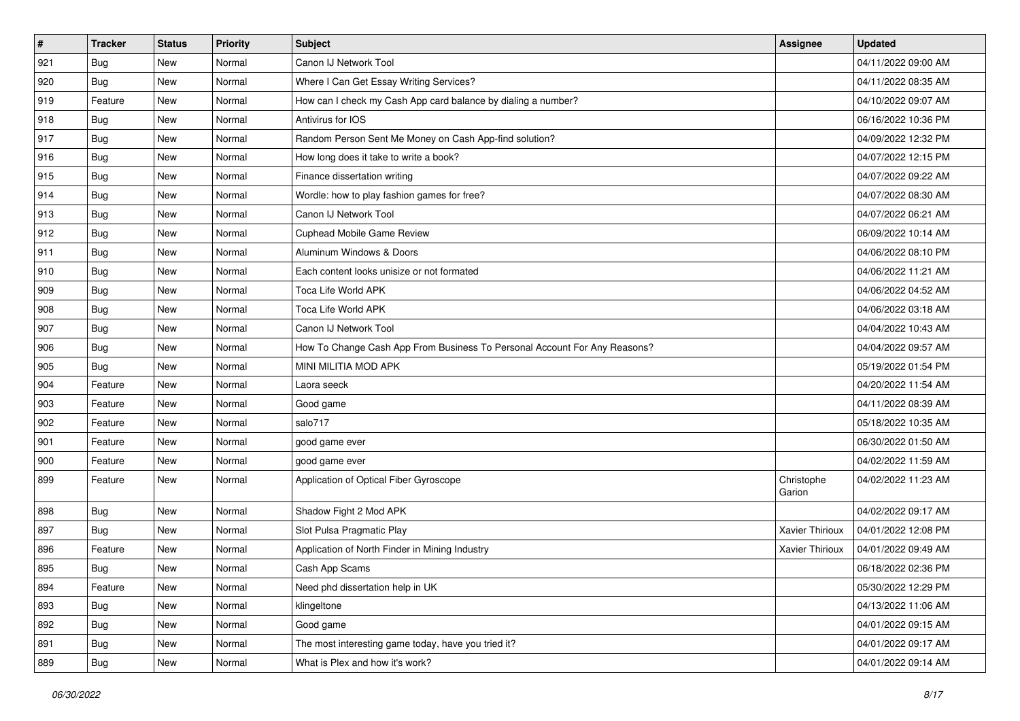| $\vert$ # | <b>Tracker</b> | <b>Status</b> | <b>Priority</b> | <b>Subject</b>                                                            | Assignee               | <b>Updated</b>      |
|-----------|----------------|---------------|-----------------|---------------------------------------------------------------------------|------------------------|---------------------|
| 921       | <b>Bug</b>     | New           | Normal          | Canon IJ Network Tool                                                     |                        | 04/11/2022 09:00 AM |
| 920       | <b>Bug</b>     | New           | Normal          | Where I Can Get Essay Writing Services?                                   |                        | 04/11/2022 08:35 AM |
| 919       | Feature        | New           | Normal          | How can I check my Cash App card balance by dialing a number?             |                        | 04/10/2022 09:07 AM |
| 918       | <b>Bug</b>     | New           | Normal          | Antivirus for IOS                                                         |                        | 06/16/2022 10:36 PM |
| 917       | Bug            | New           | Normal          | Random Person Sent Me Money on Cash App-find solution?                    |                        | 04/09/2022 12:32 PM |
| 916       | <b>Bug</b>     | New           | Normal          | How long does it take to write a book?                                    |                        | 04/07/2022 12:15 PM |
| 915       | Bug            | New           | Normal          | Finance dissertation writing                                              |                        | 04/07/2022 09:22 AM |
| 914       | <b>Bug</b>     | New           | Normal          | Wordle: how to play fashion games for free?                               |                        | 04/07/2022 08:30 AM |
| 913       | <b>Bug</b>     | New           | Normal          | Canon IJ Network Tool                                                     |                        | 04/07/2022 06:21 AM |
| 912       | Bug            | New           | Normal          | Cuphead Mobile Game Review                                                |                        | 06/09/2022 10:14 AM |
| 911       | Bug            | New           | Normal          | Aluminum Windows & Doors                                                  |                        | 04/06/2022 08:10 PM |
| 910       | Bug            | New           | Normal          | Each content looks unisize or not formated                                |                        | 04/06/2022 11:21 AM |
| 909       | Bug            | New           | Normal          | Toca Life World APK                                                       |                        | 04/06/2022 04:52 AM |
| 908       | Bug            | New           | Normal          | Toca Life World APK                                                       |                        | 04/06/2022 03:18 AM |
| 907       | Bug            | New           | Normal          | Canon IJ Network Tool                                                     |                        | 04/04/2022 10:43 AM |
| 906       | Bug            | New           | Normal          | How To Change Cash App From Business To Personal Account For Any Reasons? |                        | 04/04/2022 09:57 AM |
| 905       | <b>Bug</b>     | New           | Normal          | MINI MILITIA MOD APK                                                      |                        | 05/19/2022 01:54 PM |
| 904       | Feature        | New           | Normal          | Laora seeck                                                               |                        | 04/20/2022 11:54 AM |
| 903       | Feature        | New           | Normal          | Good game                                                                 |                        | 04/11/2022 08:39 AM |
| 902       | Feature        | New           | Normal          | salo717                                                                   |                        | 05/18/2022 10:35 AM |
| 901       | Feature        | New           | Normal          | good game ever                                                            |                        | 06/30/2022 01:50 AM |
| 900       | Feature        | New           | Normal          | good game ever                                                            |                        | 04/02/2022 11:59 AM |
| 899       | Feature        | New           | Normal          | Application of Optical Fiber Gyroscope                                    | Christophe<br>Garion   | 04/02/2022 11:23 AM |
| 898       | Bug            | New           | Normal          | Shadow Fight 2 Mod APK                                                    |                        | 04/02/2022 09:17 AM |
| 897       | Bug            | New           | Normal          | Slot Pulsa Pragmatic Play                                                 | Xavier Thirioux        | 04/01/2022 12:08 PM |
| 896       | Feature        | New           | Normal          | Application of North Finder in Mining Industry                            | <b>Xavier Thirioux</b> | 04/01/2022 09:49 AM |
| 895       | <b>Bug</b>     | New           | Normal          | Cash App Scams                                                            |                        | 06/18/2022 02:36 PM |
| 894       | Feature        | New           | Normal          | Need phd dissertation help in UK                                          |                        | 05/30/2022 12:29 PM |
| 893       | Bug            | New           | Normal          | klingeltone                                                               |                        | 04/13/2022 11:06 AM |
| 892       | <b>Bug</b>     | New           | Normal          | Good game                                                                 |                        | 04/01/2022 09:15 AM |
| 891       | Bug            | New           | Normal          | The most interesting game today, have you tried it?                       |                        | 04/01/2022 09:17 AM |
| 889       | <b>Bug</b>     | New           | Normal          | What is Plex and how it's work?                                           |                        | 04/01/2022 09:14 AM |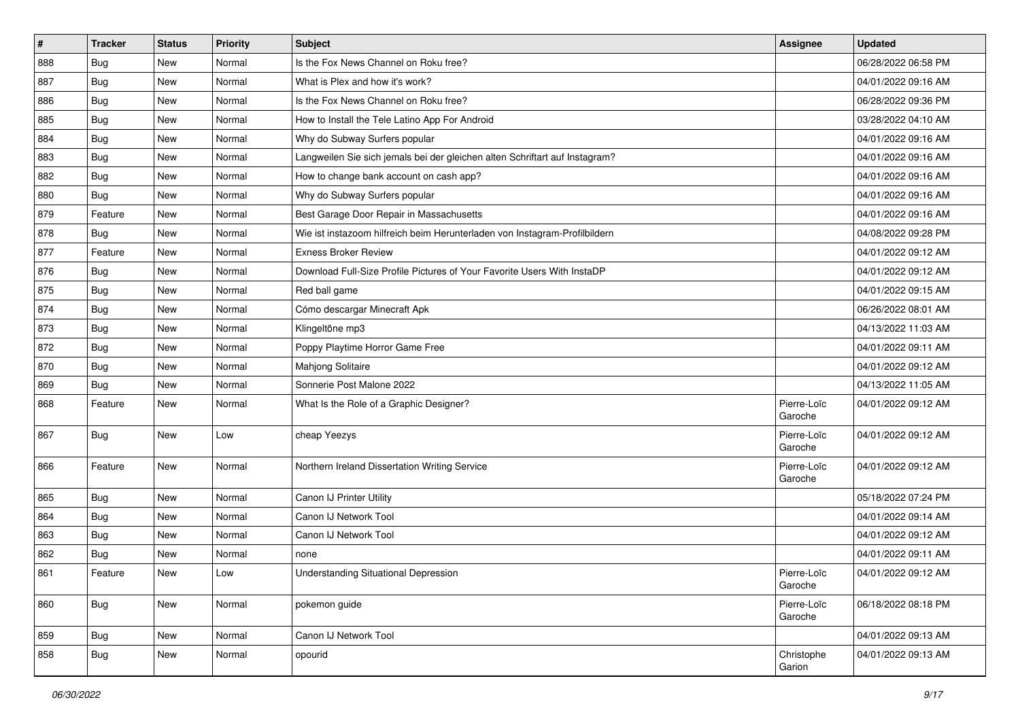| $\vert$ # | <b>Tracker</b> | <b>Status</b> | <b>Priority</b> | <b>Subject</b>                                                              | <b>Assignee</b>        | <b>Updated</b>      |
|-----------|----------------|---------------|-----------------|-----------------------------------------------------------------------------|------------------------|---------------------|
| 888       | <b>Bug</b>     | New           | Normal          | Is the Fox News Channel on Roku free?                                       |                        | 06/28/2022 06:58 PM |
| 887       | <b>Bug</b>     | New           | Normal          | What is Plex and how it's work?                                             |                        | 04/01/2022 09:16 AM |
| 886       | <b>Bug</b>     | New           | Normal          | Is the Fox News Channel on Roku free?                                       |                        | 06/28/2022 09:36 PM |
| 885       | Bug            | New           | Normal          | How to Install the Tele Latino App For Android                              |                        | 03/28/2022 04:10 AM |
| 884       | Bug            | New           | Normal          | Why do Subway Surfers popular                                               |                        | 04/01/2022 09:16 AM |
| 883       | <b>Bug</b>     | New           | Normal          | Langweilen Sie sich jemals bei der gleichen alten Schriftart auf Instagram? |                        | 04/01/2022 09:16 AM |
| 882       | <b>Bug</b>     | New           | Normal          | How to change bank account on cash app?                                     |                        | 04/01/2022 09:16 AM |
| 880       | Bug            | New           | Normal          | Why do Subway Surfers popular                                               |                        | 04/01/2022 09:16 AM |
| 879       | Feature        | New           | Normal          | Best Garage Door Repair in Massachusetts                                    |                        | 04/01/2022 09:16 AM |
| 878       | Bug            | New           | Normal          | Wie ist instazoom hilfreich beim Herunterladen von Instagram-Profilbildern  |                        | 04/08/2022 09:28 PM |
| 877       | Feature        | New           | Normal          | <b>Exness Broker Review</b>                                                 |                        | 04/01/2022 09:12 AM |
| 876       | Bug            | New           | Normal          | Download Full-Size Profile Pictures of Your Favorite Users With InstaDP     |                        | 04/01/2022 09:12 AM |
| 875       | Bug            | New           | Normal          | Red ball game                                                               |                        | 04/01/2022 09:15 AM |
| 874       | Bug            | New           | Normal          | Cómo descargar Minecraft Apk                                                |                        | 06/26/2022 08:01 AM |
| 873       | Bug            | New           | Normal          | Klingeltöne mp3                                                             |                        | 04/13/2022 11:03 AM |
| 872       | Bug            | New           | Normal          | Poppy Playtime Horror Game Free                                             |                        | 04/01/2022 09:11 AM |
| 870       | <b>Bug</b>     | New           | Normal          | Mahjong Solitaire                                                           |                        | 04/01/2022 09:12 AM |
| 869       | Bug            | New           | Normal          | Sonnerie Post Malone 2022                                                   |                        | 04/13/2022 11:05 AM |
| 868       | Feature        | New           | Normal          | What Is the Role of a Graphic Designer?                                     | Pierre-Loïc<br>Garoche | 04/01/2022 09:12 AM |
| 867       | <b>Bug</b>     | New           | Low             | cheap Yeezys                                                                | Pierre-Loïc<br>Garoche | 04/01/2022 09:12 AM |
| 866       | Feature        | New           | Normal          | Northern Ireland Dissertation Writing Service                               | Pierre-Loïc<br>Garoche | 04/01/2022 09:12 AM |
| 865       | <b>Bug</b>     | New           | Normal          | Canon IJ Printer Utility                                                    |                        | 05/18/2022 07:24 PM |
| 864       | Bug            | New           | Normal          | Canon IJ Network Tool                                                       |                        | 04/01/2022 09:14 AM |
| 863       | <b>Bug</b>     | New           | Normal          | Canon IJ Network Tool                                                       |                        | 04/01/2022 09:12 AM |
| 862       | <b>Bug</b>     | New           | Normal          | none                                                                        |                        | 04/01/2022 09:11 AM |
| 861       | Feature        | New           | Low             | Understanding Situational Depression                                        | Pierre-Loïc<br>Garoche | 04/01/2022 09:12 AM |
| 860       | <b>Bug</b>     | New           | Normal          | pokemon guide                                                               | Pierre-Loïc<br>Garoche | 06/18/2022 08:18 PM |
| 859       | Bug            | New           | Normal          | Canon IJ Network Tool                                                       |                        | 04/01/2022 09:13 AM |
| 858       | <b>Bug</b>     | New           | Normal          | opourid                                                                     | Christophe<br>Garion   | 04/01/2022 09:13 AM |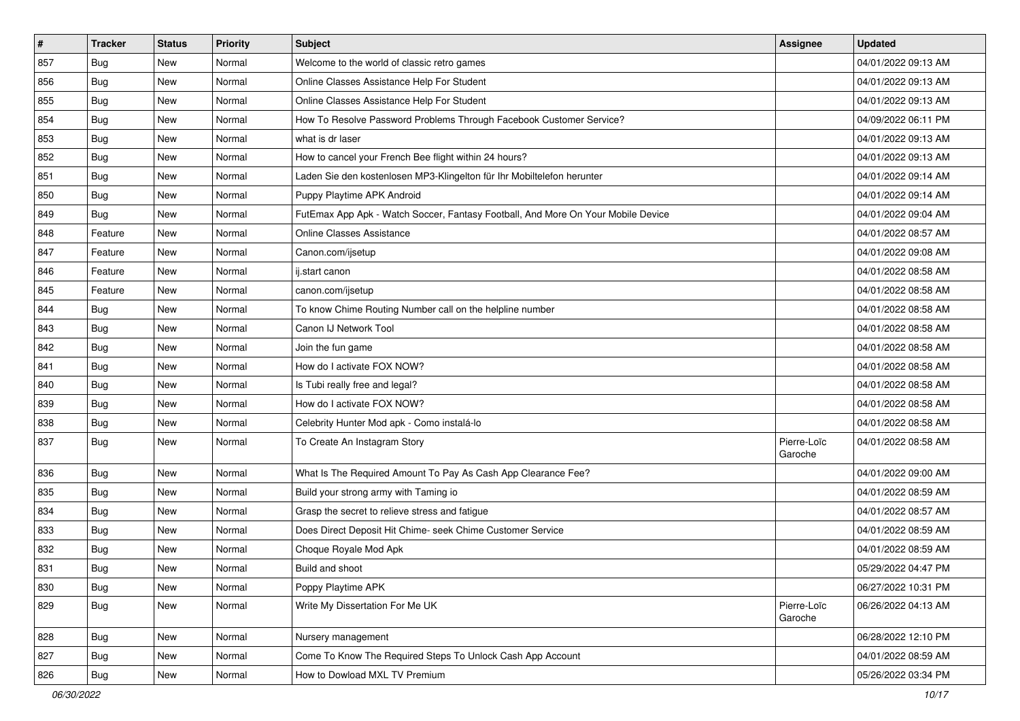| $\vert$ # | <b>Tracker</b> | <b>Status</b> | <b>Priority</b> | <b>Subject</b>                                                                   | <b>Assignee</b>        | <b>Updated</b>      |
|-----------|----------------|---------------|-----------------|----------------------------------------------------------------------------------|------------------------|---------------------|
| 857       | <b>Bug</b>     | New           | Normal          | Welcome to the world of classic retro games                                      |                        | 04/01/2022 09:13 AM |
| 856       | Bug            | New           | Normal          | Online Classes Assistance Help For Student                                       |                        | 04/01/2022 09:13 AM |
| 855       | Bug            | New           | Normal          | Online Classes Assistance Help For Student                                       |                        | 04/01/2022 09:13 AM |
| 854       | <b>Bug</b>     | New           | Normal          | How To Resolve Password Problems Through Facebook Customer Service?              |                        | 04/09/2022 06:11 PM |
| 853       | <b>Bug</b>     | New           | Normal          | what is dr laser                                                                 |                        | 04/01/2022 09:13 AM |
| 852       | <b>Bug</b>     | New           | Normal          | How to cancel your French Bee flight within 24 hours?                            |                        | 04/01/2022 09:13 AM |
| 851       | Bug            | New           | Normal          | Laden Sie den kostenlosen MP3-Klingelton für Ihr Mobiltelefon herunter           |                        | 04/01/2022 09:14 AM |
| 850       | Bug            | New           | Normal          | Puppy Playtime APK Android                                                       |                        | 04/01/2022 09:14 AM |
| 849       | Bug            | New           | Normal          | FutEmax App Apk - Watch Soccer, Fantasy Football, And More On Your Mobile Device |                        | 04/01/2022 09:04 AM |
| 848       | Feature        | New           | Normal          | <b>Online Classes Assistance</b>                                                 |                        | 04/01/2022 08:57 AM |
| 847       | Feature        | New           | Normal          | Canon.com/ijsetup                                                                |                        | 04/01/2022 09:08 AM |
| 846       | Feature        | New           | Normal          | ij.start canon                                                                   |                        | 04/01/2022 08:58 AM |
| 845       | Feature        | New           | Normal          | canon.com/ijsetup                                                                |                        | 04/01/2022 08:58 AM |
| 844       | Bug            | New           | Normal          | To know Chime Routing Number call on the helpline number                         |                        | 04/01/2022 08:58 AM |
| 843       | <b>Bug</b>     | New           | Normal          | Canon IJ Network Tool                                                            |                        | 04/01/2022 08:58 AM |
| 842       | Bug            | New           | Normal          | Join the fun game                                                                |                        | 04/01/2022 08:58 AM |
| 841       | <b>Bug</b>     | New           | Normal          | How do I activate FOX NOW?                                                       |                        | 04/01/2022 08:58 AM |
| 840       | Bug            | New           | Normal          | Is Tubi really free and legal?                                                   |                        | 04/01/2022 08:58 AM |
| 839       | <b>Bug</b>     | New           | Normal          | How do I activate FOX NOW?                                                       |                        | 04/01/2022 08:58 AM |
| 838       | <b>Bug</b>     | New           | Normal          | Celebrity Hunter Mod apk - Como instalá-lo                                       |                        | 04/01/2022 08:58 AM |
| 837       | <b>Bug</b>     | New           | Normal          | To Create An Instagram Story                                                     | Pierre-Loïc<br>Garoche | 04/01/2022 08:58 AM |
| 836       | Bug            | New           | Normal          | What Is The Required Amount To Pay As Cash App Clearance Fee?                    |                        | 04/01/2022 09:00 AM |
| 835       | <b>Bug</b>     | New           | Normal          | Build your strong army with Taming io                                            |                        | 04/01/2022 08:59 AM |
| 834       | <b>Bug</b>     | New           | Normal          | Grasp the secret to relieve stress and fatigue                                   |                        | 04/01/2022 08:57 AM |
| 833       | <b>Bug</b>     | New           | Normal          | Does Direct Deposit Hit Chime- seek Chime Customer Service                       |                        | 04/01/2022 08:59 AM |
| 832       | <b>Bug</b>     | New           | Normal          | Choque Royale Mod Apk                                                            |                        | 04/01/2022 08:59 AM |
| 831       | <b>Bug</b>     | New           | Normal          | Build and shoot                                                                  |                        | 05/29/2022 04:47 PM |
| 830       | Bug            | New           | Normal          | Poppy Playtime APK                                                               |                        | 06/27/2022 10:31 PM |
| 829       | Bug            | New           | Normal          | Write My Dissertation For Me UK                                                  | Pierre-Loïc<br>Garoche | 06/26/2022 04:13 AM |
| 828       | Bug            | New           | Normal          | Nursery management                                                               |                        | 06/28/2022 12:10 PM |
| 827       | <b>Bug</b>     | New           | Normal          | Come To Know The Required Steps To Unlock Cash App Account                       |                        | 04/01/2022 08:59 AM |
| 826       | Bug            | New           | Normal          | How to Dowload MXL TV Premium                                                    |                        | 05/26/2022 03:34 PM |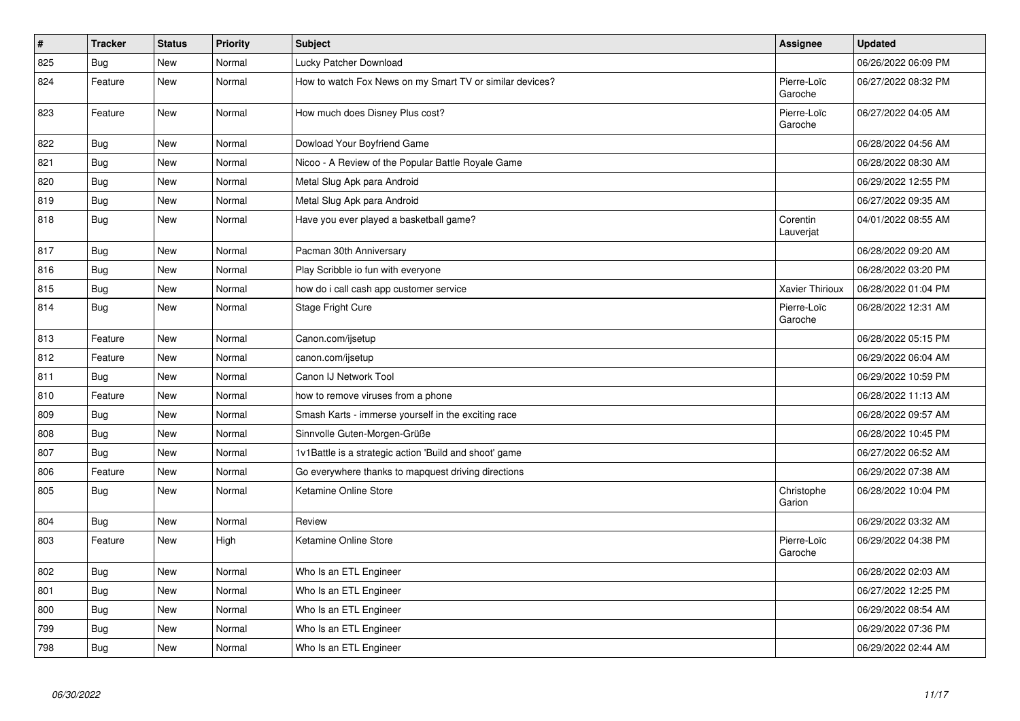| $\vert$ # | <b>Tracker</b> | <b>Status</b> | <b>Priority</b> | <b>Subject</b>                                           | <b>Assignee</b>        | <b>Updated</b>      |
|-----------|----------------|---------------|-----------------|----------------------------------------------------------|------------------------|---------------------|
| 825       | Bug            | New           | Normal          | Lucky Patcher Download                                   |                        | 06/26/2022 06:09 PM |
| 824       | Feature        | <b>New</b>    | Normal          | How to watch Fox News on my Smart TV or similar devices? | Pierre-Loïc<br>Garoche | 06/27/2022 08:32 PM |
| 823       | Feature        | <b>New</b>    | Normal          | How much does Disney Plus cost?                          | Pierre-Loïc<br>Garoche | 06/27/2022 04:05 AM |
| 822       | Bug            | <b>New</b>    | Normal          | Dowload Your Boyfriend Game                              |                        | 06/28/2022 04:56 AM |
| 821       | <b>Bug</b>     | New           | Normal          | Nicoo - A Review of the Popular Battle Royale Game       |                        | 06/28/2022 08:30 AM |
| 820       | Bug            | <b>New</b>    | Normal          | Metal Slug Apk para Android                              |                        | 06/29/2022 12:55 PM |
| 819       | <b>Bug</b>     | New           | Normal          | Metal Slug Apk para Android                              |                        | 06/27/2022 09:35 AM |
| 818       | Bug            | New           | Normal          | Have you ever played a basketball game?                  | Corentin<br>Lauverjat  | 04/01/2022 08:55 AM |
| 817       | Bug            | New           | Normal          | Pacman 30th Anniversary                                  |                        | 06/28/2022 09:20 AM |
| 816       | <b>Bug</b>     | New           | Normal          | Play Scribble io fun with everyone                       |                        | 06/28/2022 03:20 PM |
| 815       | <b>Bug</b>     | <b>New</b>    | Normal          | how do i call cash app customer service                  | <b>Xavier Thirioux</b> | 06/28/2022 01:04 PM |
| 814       | <b>Bug</b>     | New           | Normal          | Stage Fright Cure                                        | Pierre-Loïc<br>Garoche | 06/28/2022 12:31 AM |
| 813       | Feature        | New           | Normal          | Canon.com/ijsetup                                        |                        | 06/28/2022 05:15 PM |
| 812       | Feature        | <b>New</b>    | Normal          | canon.com/ijsetup                                        |                        | 06/29/2022 06:04 AM |
| 811       | Bug            | New           | Normal          | Canon IJ Network Tool                                    |                        | 06/29/2022 10:59 PM |
| 810       | Feature        | New           | Normal          | how to remove viruses from a phone                       |                        | 06/28/2022 11:13 AM |
| 809       | <b>Bug</b>     | New           | Normal          | Smash Karts - immerse yourself in the exciting race      |                        | 06/28/2022 09:57 AM |
| 808       | Bug            | New           | Normal          | Sinnvolle Guten-Morgen-Grüße                             |                        | 06/28/2022 10:45 PM |
| 807       | Bug            | New           | Normal          | 1v1Battle is a strategic action 'Build and shoot' game   |                        | 06/27/2022 06:52 AM |
| 806       | Feature        | New           | Normal          | Go everywhere thanks to mapquest driving directions      |                        | 06/29/2022 07:38 AM |
| 805       | Bug            | New           | Normal          | Ketamine Online Store                                    | Christophe<br>Garion   | 06/28/2022 10:04 PM |
| 804       | Bug            | New           | Normal          | Review                                                   |                        | 06/29/2022 03:32 AM |
| 803       | Feature        | New           | High            | Ketamine Online Store                                    | Pierre-Loïc<br>Garoche | 06/29/2022 04:38 PM |
| 802       | <b>Bug</b>     | New           | Normal          | Who Is an ETL Engineer                                   |                        | 06/28/2022 02:03 AM |
| 801       | <b>Bug</b>     | New           | Normal          | Who Is an ETL Engineer                                   |                        | 06/27/2022 12:25 PM |
| 800       | <b>Bug</b>     | New           | Normal          | Who Is an ETL Engineer                                   |                        | 06/29/2022 08:54 AM |
| 799       | Bug            | New           | Normal          | Who Is an ETL Engineer                                   |                        | 06/29/2022 07:36 PM |
| 798       | <b>Bug</b>     | <b>New</b>    | Normal          | Who Is an ETL Engineer                                   |                        | 06/29/2022 02:44 AM |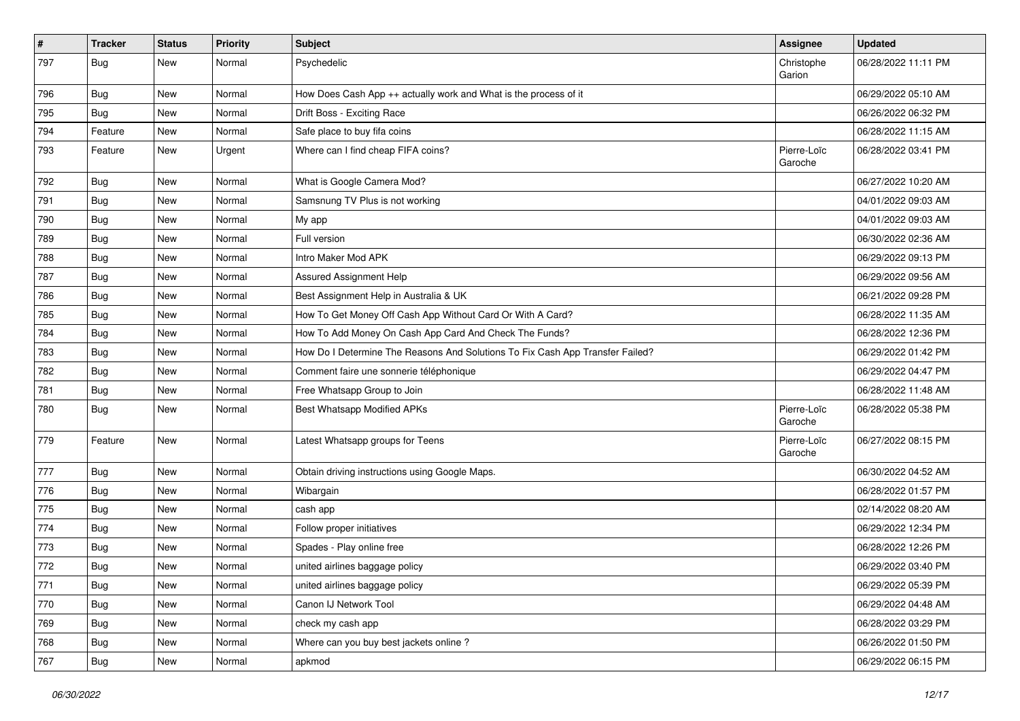| $\pmb{\#}$ | <b>Tracker</b> | <b>Status</b> | <b>Priority</b> | <b>Subject</b>                                                                | <b>Assignee</b>        | <b>Updated</b>      |
|------------|----------------|---------------|-----------------|-------------------------------------------------------------------------------|------------------------|---------------------|
| 797        | Bug            | New           | Normal          | Psychedelic                                                                   | Christophe<br>Garion   | 06/28/2022 11:11 PM |
| 796        | Bug            | <b>New</b>    | Normal          | How Does Cash App ++ actually work and What is the process of it              |                        | 06/29/2022 05:10 AM |
| 795        | Bug            | <b>New</b>    | Normal          | Drift Boss - Exciting Race                                                    |                        | 06/26/2022 06:32 PM |
| 794        | Feature        | New           | Normal          | Safe place to buy fifa coins                                                  |                        | 06/28/2022 11:15 AM |
| 793        | Feature        | New           | Urgent          | Where can I find cheap FIFA coins?                                            | Pierre-Loïc<br>Garoche | 06/28/2022 03:41 PM |
| 792        | Bug            | New           | Normal          | What is Google Camera Mod?                                                    |                        | 06/27/2022 10:20 AM |
| 791        | Bug            | <b>New</b>    | Normal          | Samsnung TV Plus is not working                                               |                        | 04/01/2022 09:03 AM |
| 790        | Bug            | <b>New</b>    | Normal          | My app                                                                        |                        | 04/01/2022 09:03 AM |
| 789        | Bug            | New           | Normal          | Full version                                                                  |                        | 06/30/2022 02:36 AM |
| 788        | Bug            | New           | Normal          | Intro Maker Mod APK                                                           |                        | 06/29/2022 09:13 PM |
| 787        | Bug            | <b>New</b>    | Normal          | <b>Assured Assignment Help</b>                                                |                        | 06/29/2022 09:56 AM |
| 786        | <b>Bug</b>     | New           | Normal          | Best Assignment Help in Australia & UK                                        |                        | 06/21/2022 09:28 PM |
| 785        | Bug            | <b>New</b>    | Normal          | How To Get Money Off Cash App Without Card Or With A Card?                    |                        | 06/28/2022 11:35 AM |
| 784        | Bug            | New           | Normal          | How To Add Money On Cash App Card And Check The Funds?                        |                        | 06/28/2022 12:36 PM |
| 783        | Bug            | <b>New</b>    | Normal          | How Do I Determine The Reasons And Solutions To Fix Cash App Transfer Failed? |                        | 06/29/2022 01:42 PM |
| 782        | Bug            | <b>New</b>    | Normal          | Comment faire une sonnerie téléphonique                                       |                        | 06/29/2022 04:47 PM |
| 781        | Bug            | New           | Normal          | Free Whatsapp Group to Join                                                   |                        | 06/28/2022 11:48 AM |
| 780        | Bug            | New           | Normal          | Best Whatsapp Modified APKs                                                   | Pierre-Loïc<br>Garoche | 06/28/2022 05:38 PM |
| 779        | Feature        | New           | Normal          | Latest Whatsapp groups for Teens                                              | Pierre-Loïc<br>Garoche | 06/27/2022 08:15 PM |
| 777        | Bug            | New           | Normal          | Obtain driving instructions using Google Maps.                                |                        | 06/30/2022 04:52 AM |
| 776        | <b>Bug</b>     | <b>New</b>    | Normal          | Wibargain                                                                     |                        | 06/28/2022 01:57 PM |
| 775        | Bug            | <b>New</b>    | Normal          | cash app                                                                      |                        | 02/14/2022 08:20 AM |
| 774        | Bug            | New           | Normal          | Follow proper initiatives                                                     |                        | 06/29/2022 12:34 PM |
| 773        | <b>Bug</b>     | New           | Normal          | Spades - Play online free                                                     |                        | 06/28/2022 12:26 PM |
| 772        | <b>Bug</b>     | <b>New</b>    | Normal          | united airlines baggage policy                                                |                        | 06/29/2022 03:40 PM |
| 771        | <b>Bug</b>     | New           | Normal          | united airlines baggage policy                                                |                        | 06/29/2022 05:39 PM |
| 770        | Bug            | New           | Normal          | Canon IJ Network Tool                                                         |                        | 06/29/2022 04:48 AM |
| 769        | Bug            | New           | Normal          | check my cash app                                                             |                        | 06/28/2022 03:29 PM |
| 768        | <b>Bug</b>     | New           | Normal          | Where can you buy best jackets online?                                        |                        | 06/26/2022 01:50 PM |
| 767        | <b>Bug</b>     | New           | Normal          | apkmod                                                                        |                        | 06/29/2022 06:15 PM |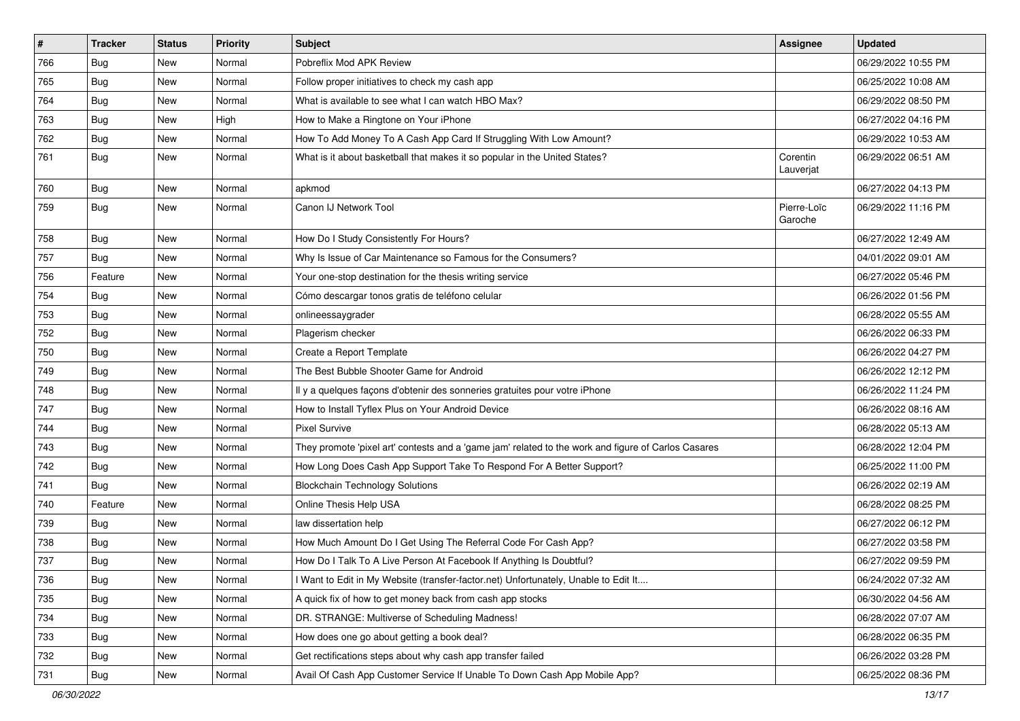| $\vert$ # | <b>Tracker</b> | <b>Status</b> | <b>Priority</b> | Subject                                                                                             | <b>Assignee</b>        | <b>Updated</b>      |
|-----------|----------------|---------------|-----------------|-----------------------------------------------------------------------------------------------------|------------------------|---------------------|
| 766       | <b>Bug</b>     | New           | Normal          | Pobreflix Mod APK Review                                                                            |                        | 06/29/2022 10:55 PM |
| 765       | Bug            | <b>New</b>    | Normal          | Follow proper initiatives to check my cash app                                                      |                        | 06/25/2022 10:08 AM |
| 764       | <b>Bug</b>     | New           | Normal          | What is available to see what I can watch HBO Max?                                                  |                        | 06/29/2022 08:50 PM |
| 763       | <b>Bug</b>     | New           | High            | How to Make a Ringtone on Your iPhone                                                               |                        | 06/27/2022 04:16 PM |
| 762       | <b>Bug</b>     | New           | Normal          | How To Add Money To A Cash App Card If Struggling With Low Amount?                                  |                        | 06/29/2022 10:53 AM |
| 761       | <b>Bug</b>     | New           | Normal          | What is it about basketball that makes it so popular in the United States?                          | Corentin<br>Lauverjat  | 06/29/2022 06:51 AM |
| 760       | Bug            | New           | Normal          | apkmod                                                                                              |                        | 06/27/2022 04:13 PM |
| 759       | <b>Bug</b>     | New           | Normal          | Canon IJ Network Tool                                                                               | Pierre-Loïc<br>Garoche | 06/29/2022 11:16 PM |
| 758       | Bug            | New           | Normal          | How Do I Study Consistently For Hours?                                                              |                        | 06/27/2022 12:49 AM |
| 757       | Bug            | New           | Normal          | Why Is Issue of Car Maintenance so Famous for the Consumers?                                        |                        | 04/01/2022 09:01 AM |
| 756       | Feature        | New           | Normal          | Your one-stop destination for the thesis writing service                                            |                        | 06/27/2022 05:46 PM |
| 754       | <b>Bug</b>     | New           | Normal          | Cómo descargar tonos gratis de teléfono celular                                                     |                        | 06/26/2022 01:56 PM |
| 753       | <b>Bug</b>     | New           | Normal          | onlineessaygrader                                                                                   |                        | 06/28/2022 05:55 AM |
| 752       | <b>Bug</b>     | New           | Normal          | Plagerism checker                                                                                   |                        | 06/26/2022 06:33 PM |
| 750       | <b>Bug</b>     | New           | Normal          | Create a Report Template                                                                            |                        | 06/26/2022 04:27 PM |
| 749       | Bug            | New           | Normal          | The Best Bubble Shooter Game for Android                                                            |                        | 06/26/2022 12:12 PM |
| 748       | <b>Bug</b>     | New           | Normal          | Il y a quelques façons d'obtenir des sonneries gratuites pour votre iPhone                          |                        | 06/26/2022 11:24 PM |
| 747       | Bug            | New           | Normal          | How to Install Tyflex Plus on Your Android Device                                                   |                        | 06/26/2022 08:16 AM |
| 744       | <b>Bug</b>     | New           | Normal          | <b>Pixel Survive</b>                                                                                |                        | 06/28/2022 05:13 AM |
| 743       | <b>Bug</b>     | New           | Normal          | They promote 'pixel art' contests and a 'game jam' related to the work and figure of Carlos Casares |                        | 06/28/2022 12:04 PM |
| 742       | Bug            | New           | Normal          | How Long Does Cash App Support Take To Respond For A Better Support?                                |                        | 06/25/2022 11:00 PM |
| 741       | <b>Bug</b>     | New           | Normal          | <b>Blockchain Technology Solutions</b>                                                              |                        | 06/26/2022 02:19 AM |
| 740       | Feature        | New           | Normal          | Online Thesis Help USA                                                                              |                        | 06/28/2022 08:25 PM |
| 739       | <b>Bug</b>     | New           | Normal          | law dissertation help                                                                               |                        | 06/27/2022 06:12 PM |
| 738       | <b>Bug</b>     | New           | Normal          | How Much Amount Do I Get Using The Referral Code For Cash App?                                      |                        | 06/27/2022 03:58 PM |
| 737       | <b>Bug</b>     | New           | Normal          | How Do I Talk To A Live Person At Facebook If Anything Is Doubtful?                                 |                        | 06/27/2022 09:59 PM |
| 736       | Bug            | New           | Normal          | Want to Edit in My Website (transfer-factor.net) Unfortunately, Unable to Edit It                   |                        | 06/24/2022 07:32 AM |
| 735       | <b>Bug</b>     | New           | Normal          | A quick fix of how to get money back from cash app stocks                                           |                        | 06/30/2022 04:56 AM |
| 734       | <b>Bug</b>     | New           | Normal          | DR. STRANGE: Multiverse of Scheduling Madness!                                                      |                        | 06/28/2022 07:07 AM |
| 733       | <b>Bug</b>     | New           | Normal          | How does one go about getting a book deal?                                                          |                        | 06/28/2022 06:35 PM |
| 732       | Bug            | New           | Normal          | Get rectifications steps about why cash app transfer failed                                         |                        | 06/26/2022 03:28 PM |
| 731       | Bug            | New           | Normal          | Avail Of Cash App Customer Service If Unable To Down Cash App Mobile App?                           |                        | 06/25/2022 08:36 PM |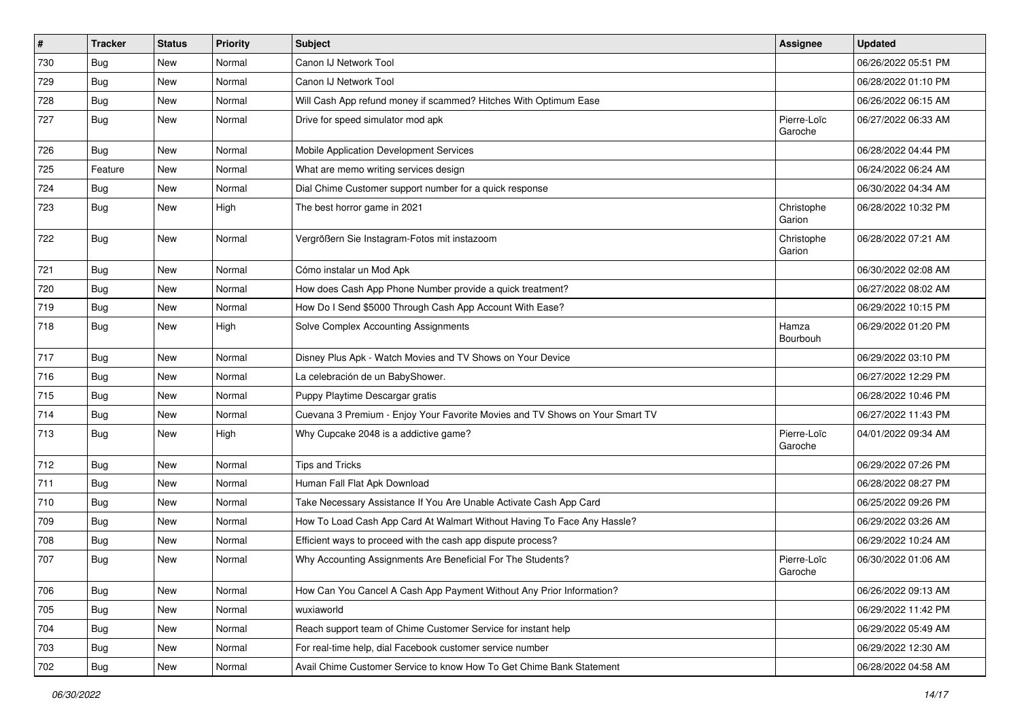| $\vert$ # | <b>Tracker</b> | <b>Status</b> | <b>Priority</b> | <b>Subject</b>                                                               | <b>Assignee</b>        | <b>Updated</b>      |
|-----------|----------------|---------------|-----------------|------------------------------------------------------------------------------|------------------------|---------------------|
| 730       | <b>Bug</b>     | New           | Normal          | Canon IJ Network Tool                                                        |                        | 06/26/2022 05:51 PM |
| 729       | Bug            | <b>New</b>    | Normal          | Canon IJ Network Tool                                                        |                        | 06/28/2022 01:10 PM |
| 728       | Bug            | New           | Normal          | Will Cash App refund money if scammed? Hitches With Optimum Ease             |                        | 06/26/2022 06:15 AM |
| 727       | Bug            | New           | Normal          | Drive for speed simulator mod apk                                            | Pierre-Loïc<br>Garoche | 06/27/2022 06:33 AM |
| 726       | Bug            | <b>New</b>    | Normal          | Mobile Application Development Services                                      |                        | 06/28/2022 04:44 PM |
| 725       | Feature        | New           | Normal          | What are memo writing services design                                        |                        | 06/24/2022 06:24 AM |
| 724       | Bug            | New           | Normal          | Dial Chime Customer support number for a quick response                      |                        | 06/30/2022 04:34 AM |
| 723       | Bug            | New           | High            | The best horror game in 2021                                                 | Christophe<br>Garion   | 06/28/2022 10:32 PM |
| 722       | Bug            | <b>New</b>    | Normal          | Vergrößern Sie Instagram-Fotos mit instazoom                                 | Christophe<br>Garion   | 06/28/2022 07:21 AM |
| 721       | <b>Bug</b>     | New           | Normal          | Cómo instalar un Mod Apk                                                     |                        | 06/30/2022 02:08 AM |
| 720       | Bug            | New           | Normal          | How does Cash App Phone Number provide a quick treatment?                    |                        | 06/27/2022 08:02 AM |
| 719       | Bug            | New           | Normal          | How Do I Send \$5000 Through Cash App Account With Ease?                     |                        | 06/29/2022 10:15 PM |
| 718       | Bug            | <b>New</b>    | High            | Solve Complex Accounting Assignments                                         | Hamza<br>Bourbouh      | 06/29/2022 01:20 PM |
| 717       | Bug            | <b>New</b>    | Normal          | Disney Plus Apk - Watch Movies and TV Shows on Your Device                   |                        | 06/29/2022 03:10 PM |
| 716       | Bug            | New           | Normal          | La celebración de un BabyShower.                                             |                        | 06/27/2022 12:29 PM |
| 715       | <b>Bug</b>     | New           | Normal          | Puppy Playtime Descargar gratis                                              |                        | 06/28/2022 10:46 PM |
| 714       | Bug            | <b>New</b>    | Normal          | Cuevana 3 Premium - Enjoy Your Favorite Movies and TV Shows on Your Smart TV |                        | 06/27/2022 11:43 PM |
| 713       | Bug            | New           | High            | Why Cupcake 2048 is a addictive game?                                        | Pierre-Loïc<br>Garoche | 04/01/2022 09:34 AM |
| 712       | Bug            | New           | Normal          | Tips and Tricks                                                              |                        | 06/29/2022 07:26 PM |
| 711       | <b>Bug</b>     | New           | Normal          | Human Fall Flat Apk Download                                                 |                        | 06/28/2022 08:27 PM |
| 710       | Bug            | <b>New</b>    | Normal          | Take Necessary Assistance If You Are Unable Activate Cash App Card           |                        | 06/25/2022 09:26 PM |
| 709       | Bug            | New           | Normal          | How To Load Cash App Card At Walmart Without Having To Face Any Hassle?      |                        | 06/29/2022 03:26 AM |
| 708       | <b>Bug</b>     | New           | Normal          | Efficient ways to proceed with the cash app dispute process?                 |                        | 06/29/2022 10:24 AM |
| 707       | Bug            | <b>New</b>    | Normal          | Why Accounting Assignments Are Beneficial For The Students?                  | Pierre-Loïc<br>Garoche | 06/30/2022 01:06 AM |
| 706       | Bug            | New           | Normal          | How Can You Cancel A Cash App Payment Without Any Prior Information?         |                        | 06/26/2022 09:13 AM |
| 705       | Bug            | New           | Normal          | wuxiaworld                                                                   |                        | 06/29/2022 11:42 PM |
| 704       | Bug            | New           | Normal          | Reach support team of Chime Customer Service for instant help                |                        | 06/29/2022 05:49 AM |
| 703       | Bug            | New           | Normal          | For real-time help, dial Facebook customer service number                    |                        | 06/29/2022 12:30 AM |
| 702       | Bug            | New           | Normal          | Avail Chime Customer Service to know How To Get Chime Bank Statement         |                        | 06/28/2022 04:58 AM |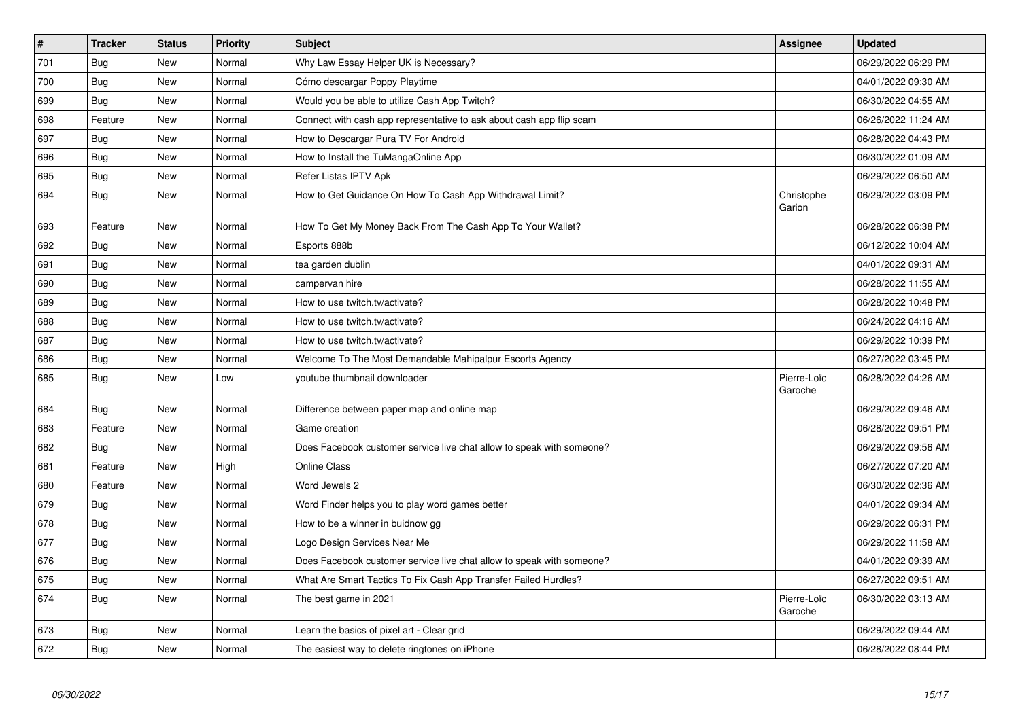| $\vert$ # | <b>Tracker</b> | <b>Status</b> | <b>Priority</b> | <b>Subject</b>                                                        | <b>Assignee</b>        | <b>Updated</b>      |
|-----------|----------------|---------------|-----------------|-----------------------------------------------------------------------|------------------------|---------------------|
| 701       | Bug            | New           | Normal          | Why Law Essay Helper UK is Necessary?                                 |                        | 06/29/2022 06:29 PM |
| 700       | <b>Bug</b>     | <b>New</b>    | Normal          | Cómo descargar Poppy Playtime                                         |                        | 04/01/2022 09:30 AM |
| 699       | Bug            | New           | Normal          | Would you be able to utilize Cash App Twitch?                         |                        | 06/30/2022 04:55 AM |
| 698       | Feature        | <b>New</b>    | Normal          | Connect with cash app representative to ask about cash app flip scam  |                        | 06/26/2022 11:24 AM |
| 697       | <b>Bug</b>     | New           | Normal          | How to Descargar Pura TV For Android                                  |                        | 06/28/2022 04:43 PM |
| 696       | <b>Bug</b>     | New           | Normal          | How to Install the TuMangaOnline App                                  |                        | 06/30/2022 01:09 AM |
| 695       | Bug            | New           | Normal          | Refer Listas IPTV Apk                                                 |                        | 06/29/2022 06:50 AM |
| 694       | <b>Bug</b>     | New           | Normal          | How to Get Guidance On How To Cash App Withdrawal Limit?              | Christophe<br>Garion   | 06/29/2022 03:09 PM |
| 693       | Feature        | New           | Normal          | How To Get My Money Back From The Cash App To Your Wallet?            |                        | 06/28/2022 06:38 PM |
| 692       | Bug            | New           | Normal          | Esports 888b                                                          |                        | 06/12/2022 10:04 AM |
| 691       | <b>Bug</b>     | New           | Normal          | tea garden dublin                                                     |                        | 04/01/2022 09:31 AM |
| 690       | Bug            | New           | Normal          | campervan hire                                                        |                        | 06/28/2022 11:55 AM |
| 689       | Bug            | New           | Normal          | How to use twitch.tv/activate?                                        |                        | 06/28/2022 10:48 PM |
| 688       | Bug            | New           | Normal          | How to use twitch.tv/activate?                                        |                        | 06/24/2022 04:16 AM |
| 687       | Bug            | New           | Normal          | How to use twitch.tv/activate?                                        |                        | 06/29/2022 10:39 PM |
| 686       | Bug            | New           | Normal          | Welcome To The Most Demandable Mahipalpur Escorts Agency              |                        | 06/27/2022 03:45 PM |
| 685       | Bug            | New           | Low             | youtube thumbnail downloader                                          | Pierre-Loïc<br>Garoche | 06/28/2022 04:26 AM |
| 684       | Bug            | <b>New</b>    | Normal          | Difference between paper map and online map                           |                        | 06/29/2022 09:46 AM |
| 683       | Feature        | <b>New</b>    | Normal          | Game creation                                                         |                        | 06/28/2022 09:51 PM |
| 682       | Bug            | <b>New</b>    | Normal          | Does Facebook customer service live chat allow to speak with someone? |                        | 06/29/2022 09:56 AM |
| 681       | Feature        | <b>New</b>    | High            | <b>Online Class</b>                                                   |                        | 06/27/2022 07:20 AM |
| 680       | Feature        | New           | Normal          | Word Jewels 2                                                         |                        | 06/30/2022 02:36 AM |
| 679       | Bug            | <b>New</b>    | Normal          | Word Finder helps you to play word games better                       |                        | 04/01/2022 09:34 AM |
| 678       | <b>Bug</b>     | New           | Normal          | How to be a winner in buidnow gg                                      |                        | 06/29/2022 06:31 PM |
| 677       | Bug            | <b>New</b>    | Normal          | Logo Design Services Near Me                                          |                        | 06/29/2022 11:58 AM |
| 676       | Bug            | New           | Normal          | Does Facebook customer service live chat allow to speak with someone? |                        | 04/01/2022 09:39 AM |
| 675       | <b>Bug</b>     | New           | Normal          | What Are Smart Tactics To Fix Cash App Transfer Failed Hurdles?       |                        | 06/27/2022 09:51 AM |
| 674       | Bug            | New           | Normal          | The best game in 2021                                                 | Pierre-Loïc<br>Garoche | 06/30/2022 03:13 AM |
| 673       | Bug            | New           | Normal          | Learn the basics of pixel art - Clear grid                            |                        | 06/29/2022 09:44 AM |
| 672       | <b>Bug</b>     | New           | Normal          | The easiest way to delete ringtones on iPhone                         |                        | 06/28/2022 08:44 PM |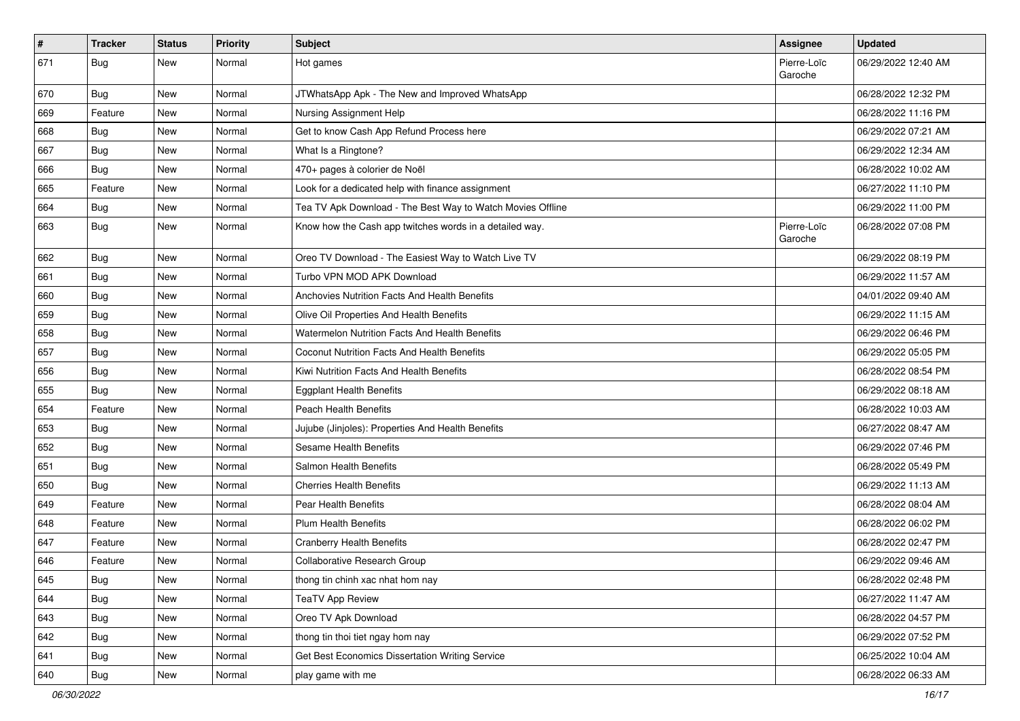| $\vert$ # | <b>Tracker</b> | <b>Status</b> | <b>Priority</b> | <b>Subject</b>                                             | Assignee               | <b>Updated</b>      |
|-----------|----------------|---------------|-----------------|------------------------------------------------------------|------------------------|---------------------|
| 671       | <b>Bug</b>     | New           | Normal          | Hot games                                                  | Pierre-Loïc<br>Garoche | 06/29/2022 12:40 AM |
| 670       | <b>Bug</b>     | New           | Normal          | JTWhatsApp Apk - The New and Improved WhatsApp             |                        | 06/28/2022 12:32 PM |
| 669       | Feature        | New           | Normal          | Nursing Assignment Help                                    |                        | 06/28/2022 11:16 PM |
| 668       | Bug            | New           | Normal          | Get to know Cash App Refund Process here                   |                        | 06/29/2022 07:21 AM |
| 667       | <b>Bug</b>     | New           | Normal          | What Is a Ringtone?                                        |                        | 06/29/2022 12:34 AM |
| 666       | <b>Bug</b>     | New           | Normal          | 470+ pages à colorier de Noël                              |                        | 06/28/2022 10:02 AM |
| 665       | Feature        | New           | Normal          | Look for a dedicated help with finance assignment          |                        | 06/27/2022 11:10 PM |
| 664       | <b>Bug</b>     | New           | Normal          | Tea TV Apk Download - The Best Way to Watch Movies Offline |                        | 06/29/2022 11:00 PM |
| 663       | <b>Bug</b>     | New           | Normal          | Know how the Cash app twitches words in a detailed way.    | Pierre-Loïc<br>Garoche | 06/28/2022 07:08 PM |
| 662       | Bug            | <b>New</b>    | Normal          | Oreo TV Download - The Easiest Way to Watch Live TV        |                        | 06/29/2022 08:19 PM |
| 661       | Bug            | New           | Normal          | Turbo VPN MOD APK Download                                 |                        | 06/29/2022 11:57 AM |
| 660       | <b>Bug</b>     | New           | Normal          | Anchovies Nutrition Facts And Health Benefits              |                        | 04/01/2022 09:40 AM |
| 659       | Bug            | New           | Normal          | Olive Oil Properties And Health Benefits                   |                        | 06/29/2022 11:15 AM |
| 658       | Bug            | New           | Normal          | Watermelon Nutrition Facts And Health Benefits             |                        | 06/29/2022 06:46 PM |
| 657       | <b>Bug</b>     | New           | Normal          | Coconut Nutrition Facts And Health Benefits                |                        | 06/29/2022 05:05 PM |
| 656       | Bug            | New           | Normal          | Kiwi Nutrition Facts And Health Benefits                   |                        | 06/28/2022 08:54 PM |
| 655       | <b>Bug</b>     | New           | Normal          | <b>Eggplant Health Benefits</b>                            |                        | 06/29/2022 08:18 AM |
| 654       | Feature        | New           | Normal          | <b>Peach Health Benefits</b>                               |                        | 06/28/2022 10:03 AM |
| 653       | <b>Bug</b>     | New           | Normal          | Jujube (Jinjoles): Properties And Health Benefits          |                        | 06/27/2022 08:47 AM |
| 652       | Bug            | New           | Normal          | Sesame Health Benefits                                     |                        | 06/29/2022 07:46 PM |
| 651       | Bug            | New           | Normal          | Salmon Health Benefits                                     |                        | 06/28/2022 05:49 PM |
| 650       | Bug            | New           | Normal          | <b>Cherries Health Benefits</b>                            |                        | 06/29/2022 11:13 AM |
| 649       | Feature        | New           | Normal          | Pear Health Benefits                                       |                        | 06/28/2022 08:04 AM |
| 648       | Feature        | New           | Normal          | <b>Plum Health Benefits</b>                                |                        | 06/28/2022 06:02 PM |
| 647       | Feature        | New           | Normal          | <b>Cranberry Health Benefits</b>                           |                        | 06/28/2022 02:47 PM |
| 646       | Feature        | New           | Normal          | Collaborative Research Group                               |                        | 06/29/2022 09:46 AM |
| 645       | Bug            | New           | Normal          | thong tin chinh xac nhat hom nay                           |                        | 06/28/2022 02:48 PM |
| 644       | Bug            | New           | Normal          | <b>TeaTV App Review</b>                                    |                        | 06/27/2022 11:47 AM |
| 643       | Bug            | New           | Normal          | Oreo TV Apk Download                                       |                        | 06/28/2022 04:57 PM |
| 642       | Bug            | New           | Normal          | thong tin thoi tiet ngay hom nay                           |                        | 06/29/2022 07:52 PM |
| 641       | Bug            | New           | Normal          | Get Best Economics Dissertation Writing Service            |                        | 06/25/2022 10:04 AM |
| 640       | <b>Bug</b>     | New           | Normal          | play game with me                                          |                        | 06/28/2022 06:33 AM |